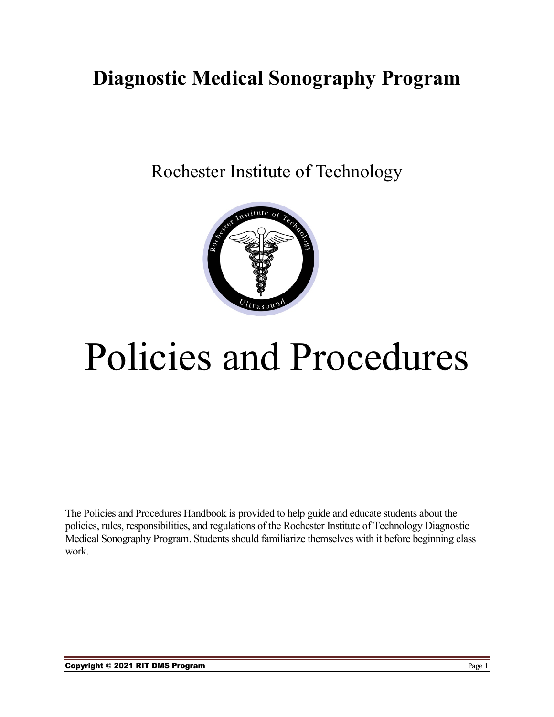# **Diagnostic Medical Sonography Program**

Rochester Institute of Technology



# Policies and Procedures

The Policies and Procedures Handbook is provided to help guide and educate students about the policies, rules, responsibilities, and regulations of the Rochester Institute of Technology Diagnostic Medical Sonography Program. Students should familiarize themselves with it before beginning class work.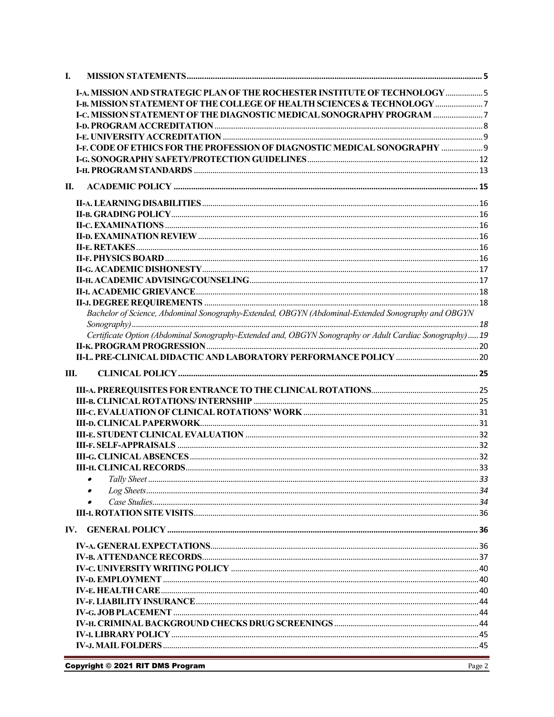| I.   |                                                                                                         |  |
|------|---------------------------------------------------------------------------------------------------------|--|
|      | <b>I-A. MISSION AND STRATEGIC PLAN OF THE ROCHESTER INSTITUTE OF TECHNOLOGY  5</b>                      |  |
|      | <b>I-B, MISSION STATEMENT OF THE COLLEGE OF HEALTH SCIENCES &amp; TECHNOLOGY </b>                       |  |
|      | <b>I-C. MISSION STATEMENT OF THE DIAGNOSTIC MEDICAL SONOGRAPHY PROGRAM </b>                             |  |
|      |                                                                                                         |  |
|      |                                                                                                         |  |
|      | <b>I-F. CODE OF ETHICS FOR THE PROFESSION OF DIAGNOSTIC MEDICAL SONOGRAPHY  9</b>                       |  |
|      |                                                                                                         |  |
|      |                                                                                                         |  |
| П.   |                                                                                                         |  |
|      |                                                                                                         |  |
|      |                                                                                                         |  |
|      |                                                                                                         |  |
|      |                                                                                                         |  |
|      |                                                                                                         |  |
|      |                                                                                                         |  |
|      |                                                                                                         |  |
|      |                                                                                                         |  |
|      |                                                                                                         |  |
|      |                                                                                                         |  |
|      |                                                                                                         |  |
|      | Bachelor of Science, Abdominal Sonography-Extended, OBGYN (Abdominal-Extended Sonography and OBGYN      |  |
|      | Certificate Option (Abdominal Sonography-Extended and, OBGYN Sonography or Adult Cardiac Sonography) 19 |  |
|      |                                                                                                         |  |
|      |                                                                                                         |  |
|      |                                                                                                         |  |
|      |                                                                                                         |  |
| III. |                                                                                                         |  |
|      |                                                                                                         |  |
|      |                                                                                                         |  |
|      |                                                                                                         |  |
|      |                                                                                                         |  |
|      |                                                                                                         |  |
|      |                                                                                                         |  |
|      |                                                                                                         |  |
|      |                                                                                                         |  |
|      |                                                                                                         |  |
|      |                                                                                                         |  |
|      |                                                                                                         |  |
|      |                                                                                                         |  |
|      |                                                                                                         |  |
|      |                                                                                                         |  |
|      |                                                                                                         |  |
|      |                                                                                                         |  |
|      |                                                                                                         |  |
|      |                                                                                                         |  |
|      |                                                                                                         |  |
|      |                                                                                                         |  |
|      |                                                                                                         |  |
|      |                                                                                                         |  |
|      |                                                                                                         |  |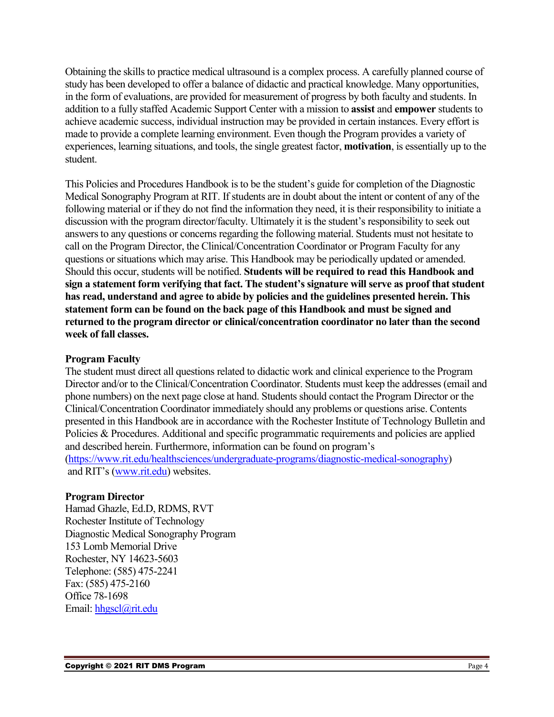Obtaining the skills to practice medical ultrasound is a complex process. A carefully planned course of study has been developed to offer a balance of didactic and practical knowledge. Many opportunities, in the form of evaluations, are provided for measurement of progress by both faculty and students. In addition to a fully staffed Academic Support Center with a mission to **assist** and **empower** students to achieve academic success, individual instruction may be provided in certain instances. Every effort is made to provide a complete learning environment. Even though the Program provides a variety of experiences, learning situations, and tools, the single greatest factor, **motivation**, is essentially up to the student.

This Policies and Procedures Handbook is to be the student's guide for completion of the Diagnostic Medical Sonography Program at RIT. If students are in doubt about the intent or content of any of the following material or if they do not find the information they need, it is their responsibility to initiate a discussion with the program director/faculty. Ultimately it is the student's responsibility to seek out answers to any questions or concerns regarding the following material. Students must not hesitate to call on the Program Director, the Clinical/Concentration Coordinator or Program Faculty for any questions or situations which may arise. This Handbook may be periodically updated or amended. Should this occur, students will be notified. **Students will be required to read this Handbook and sign a statement form verifying that fact. The student's signature will serve as proof that student has read, understand and agree to abide by policies and the guidelines presented herein. This statement form can be found on the back page of this Handbook and must be signed and returned to the program director or clinical/concentration coordinator no later than the second week of fall classes.**

#### **Program Faculty**

The student must direct all questions related to didactic work and clinical experience to the Program Director and/or to the Clinical/Concentration Coordinator. Students must keep the addresses (email and phone numbers) on the next page close at hand. Students should contact the Program Director or the Clinical/Concentration Coordinator immediately should any problems or questions arise. Contents presented in this Handbook are in accordance with the Rochester Institute of Technology Bulletin and Policies & Procedures. Additional and specific programmatic requirements and policies are applied and described herein. Furthermore, information can be found on program's [\(https://www.rit.edu/healthsciences/undergraduate-programs/diagnostic-medical-sonography\)](https://www.rit.edu/healthsciences/undergraduate-programs/diagnostic-medical-sonography) and RIT's [\(www.rit.edu\)](http://www.rit.edu/) websites.

#### **Program Director**

Hamad Ghazle, Ed.D, RDMS, RVT Rochester Institute of Technology Diagnostic Medical Sonography Program 153 Lomb Memorial Drive Rochester, NY 14623-5603 Telephone: (585) 475-2241 Fax: (585) 475-2160 Office 78-1698 Email: [hhgscl@rit.edu](mailto:hhgscl@rit.edu)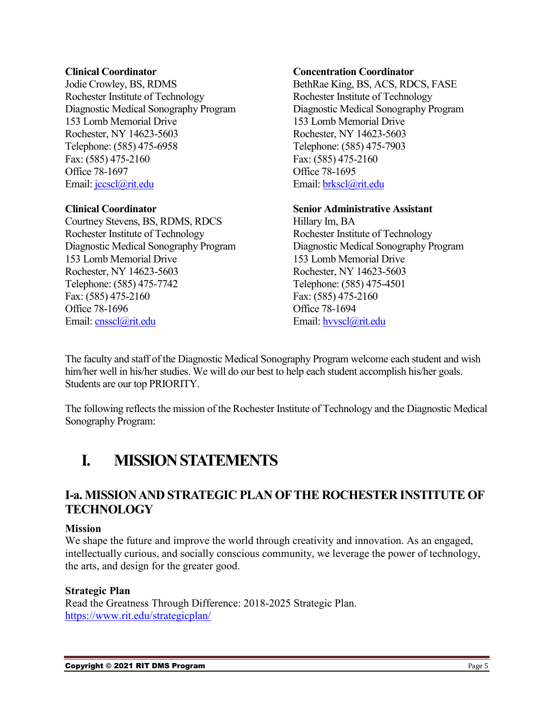Jodie Crowley, BS, RDMS BethRae King, BS, ACS, RDCS, FASE Rochester Institute of Technology Rochester Institute of Technology Diagnostic Medical Sonography Program Diagnostic Medical Sonography Program 153 Lomb Memorial Drive 153 Lomb Memorial Drive Rochester, NY 14623-5603 Rochester, NY 14623-5603 Telephone: (585) 475-6958 Telephone: (585) 475-7903 Fax: (585) 475-2160 Fax: (585) 475-2160 Office 78-1697 Office 78-1695 Email:  $\text{jccscl}(\hat{a})$ rit.edu Email: brkscl $\hat{a}$ rit.edu

Courtney Stevens, BS, RDMS, RDCS Hillary Im, BA Rochester Institute of Technology Rochester Institute of Technology Diagnostic Medical Sonography Program Diagnostic Medical Sonography Program 153 Lomb Memorial Drive 153 Lomb Memorial Drive Rochester, NY 14623-5603 Rochester, NY 14623-5603 Telephone: (585) 475-7742 Telephone: (585) 475-4501 Fax: (585) 475-2160 Fax: (585) 475-2160 Office 78-1696 Office 78-1694 Email: [cnsscl@rit.edu](mailto:cnsscl@rit.edu) Email: [hvvscl@rit.edu](mailto:hvvscl@rit.edu)

#### **Clinical Coordinator Concentration Coordinator**

#### **Clinical Coordinator Senior Administrative Assistant**

The faculty and staff of the Diagnostic Medical Sonography Program welcome each student and wish him/her well in his/her studies. We will do our best to help each student accomplish his/her goals. Students are our top PRIORITY.

The following reflects the mission of the Rochester Institute of Technology and the Diagnostic Medical Sonography Program:

### <span id="page-4-0"></span>**I. MISSION STATEMENTS**

### <span id="page-4-1"></span>**I-a. MISSION AND STRATEGIC PLAN OF THE ROCHESTER INSTITUTE OF TECHNOLOGY**

#### **Mission**

We shape the future and improve the world through creativity and innovation. As an engaged, intellectually curious, and socially conscious community, we leverage the power of technology, the arts, and design for the greater good.

#### **Strategic Plan**

Read the Greatness Through Difference: 2018-2025 Strategic Plan. <https://www.rit.edu/strategicplan/>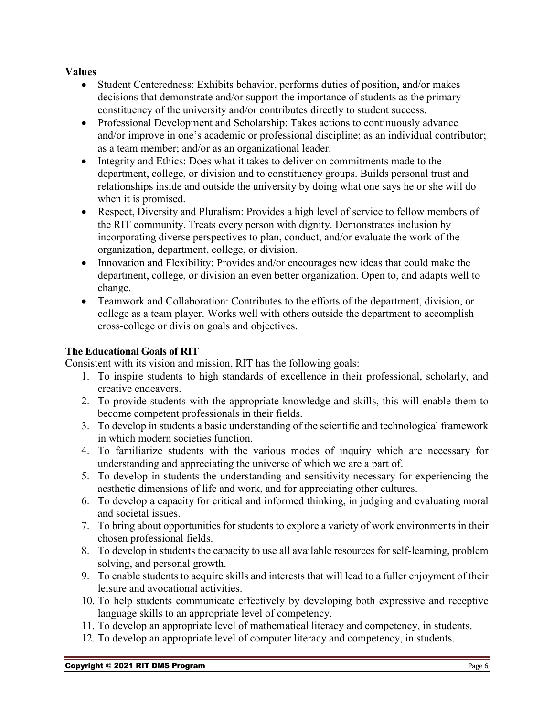#### **Values**

- Student Centeredness: Exhibits behavior, performs duties of position, and/or makes decisions that demonstrate and/or support the importance of students as the primary constituency of the university and/or contributes directly to student success.
- Professional Development and Scholarship: Takes actions to continuously advance and/or improve in one's academic or professional discipline; as an individual contributor; as a team member; and/or as an organizational leader.
- Integrity and Ethics: Does what it takes to deliver on commitments made to the department, college, or division and to constituency groups. Builds personal trust and relationships inside and outside the university by doing what one says he or she will do when it is promised.
- Respect, Diversity and Pluralism: Provides a high level of service to fellow members of the RIT community. Treats every person with dignity. Demonstrates inclusion by incorporating diverse perspectives to plan, conduct, and/or evaluate the work of the organization, department, college, or division.
- Innovation and Flexibility: Provides and/or encourages new ideas that could make the department, college, or division an even better organization. Open to, and adapts well to change.
- Teamwork and Collaboration: Contributes to the efforts of the department, division, or college as a team player. Works well with others outside the department to accomplish cross-college or division goals and objectives.

#### **The Educational Goals of RIT**

Consistent with its vision and mission, RIT has the following goals:

- 1. To inspire students to high standards of excellence in their professional, scholarly, and creative endeavors.
- 2. To provide students with the appropriate knowledge and skills, this will enable them to become competent professionals in their fields.
- 3. To develop in students a basic understanding of the scientific and technological framework in which modern societies function.
- 4. To familiarize students with the various modes of inquiry which are necessary for understanding and appreciating the universe of which we are a part of.
- 5. To develop in students the understanding and sensitivity necessary for experiencing the aesthetic dimensions of life and work, and for appreciating other cultures.
- 6. To develop a capacity for critical and informed thinking, in judging and evaluating moral and societal issues.
- 7. To bring about opportunities for students to explore a variety of work environments in their chosen professional fields.
- 8. To develop in students the capacity to use all available resources for self-learning, problem solving, and personal growth.
- 9. To enable students to acquire skills and interests that will lead to a fuller enjoyment of their leisure and avocational activities.
- 10. To help students communicate effectively by developing both expressive and receptive language skills to an appropriate level of competency.
- 11. To develop an appropriate level of mathematical literacy and competency, in students.
- 12. To develop an appropriate level of computer literacy and competency, in students.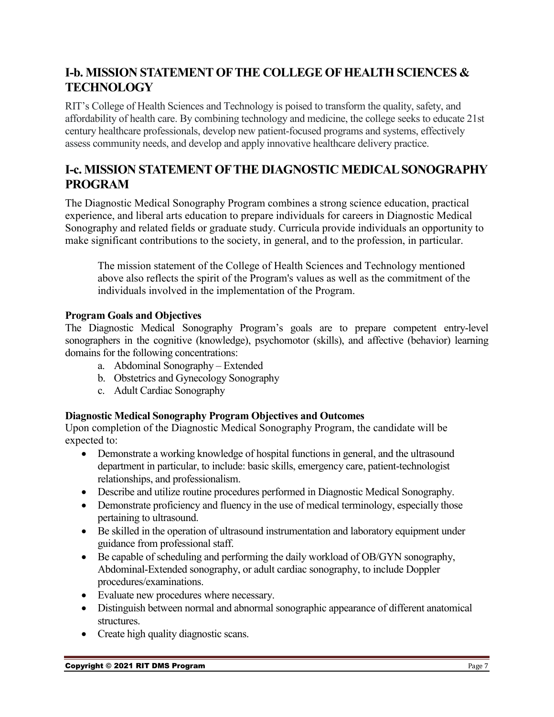### <span id="page-6-0"></span>**I-b. MISSION STATEMENT OF THE COLLEGE OF HEALTH SCIENCES & TECHNOLOGY**

RIT's College of Health Sciences and Technology is poised to transform the quality, safety, and affordability of health care. By combining technology and medicine, the college seeks to educate 21st century healthcare professionals, develop new patient-focused programs and systems, effectively assess community needs, and develop and apply innovative healthcare delivery practice.

### <span id="page-6-1"></span>**I-c. MISSION STATEMENT OF THE DIAGNOSTIC MEDICAL SONOGRAPHY PROGRAM**

The Diagnostic Medical Sonography Program combines a strong science education, practical experience, and liberal arts education to prepare individuals for careers in Diagnostic Medical Sonography and related fields or graduate study. Curricula provide individuals an opportunity to make significant contributions to the society, in general, and to the profession, in particular.

The mission statement of the College of Health Sciences and Technology mentioned above also reflects the spirit of the Program's values as well as the commitment of the individuals involved in the implementation of the Program.

### **Program Goals and Objectives**

The Diagnostic Medical Sonography Program's goals are to prepare competent entry-level sonographers in the cognitive (knowledge), psychomotor (skills), and affective (behavior) learning domains for the following concentrations:

- a. Abdominal Sonography Extended
- b. Obstetrics and Gynecology Sonography
- c. Adult Cardiac Sonography

#### **Diagnostic Medical Sonography Program Objectives and Outcomes**

Upon completion of the Diagnostic Medical Sonography Program, the candidate will be expected to:

- Demonstrate a working knowledge of hospital functions in general, and the ultrasound department in particular, to include: basic skills, emergency care, patient-technologist relationships, and professionalism.
- Describe and utilize routine procedures performed in Diagnostic Medical Sonography.
- Demonstrate proficiency and fluency in the use of medical terminology, especially those pertaining to ultrasound.
- Be skilled in the operation of ultrasound instrumentation and laboratory equipment under guidance from professional staff.
- Be capable of scheduling and performing the daily workload of OB/GYN sonography, Abdominal-Extended sonography, or adult cardiac sonography, to include Doppler procedures/examinations.
- Evaluate new procedures where necessary.
- Distinguish between normal and abnormal sonographic appearance of different anatomical structures.
- Create high quality diagnostic scans.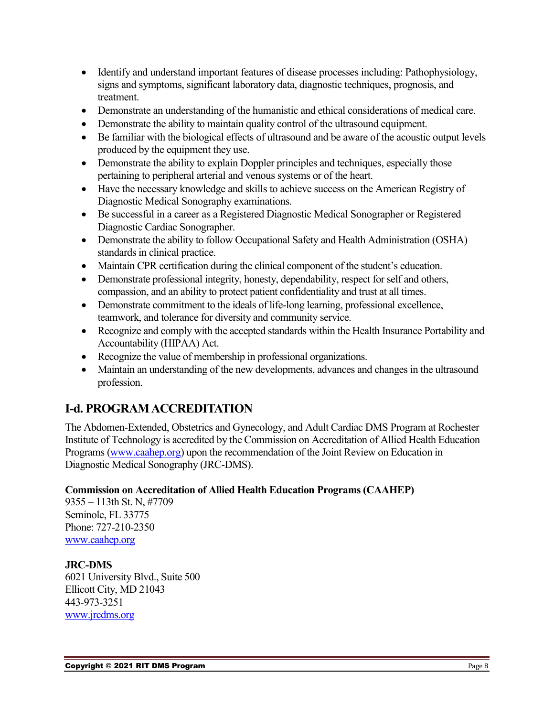- Identify and understand important features of disease processes including: Pathophysiology, signs and symptoms, significant laboratory data, diagnostic techniques, prognosis, and treatment.
- Demonstrate an understanding of the humanistic and ethical considerations of medical care.
- Demonstrate the ability to maintain quality control of the ultrasound equipment.
- Be familiar with the biological effects of ultrasound and be aware of the acoustic output levels produced by the equipment they use.
- Demonstrate the ability to explain Doppler principles and techniques, especially those pertaining to peripheral arterial and venous systems or of the heart.
- Have the necessary knowledge and skills to achieve success on the American Registry of Diagnostic Medical Sonography examinations.
- Be successful in a career as a Registered Diagnostic Medical Sonographer or Registered Diagnostic Cardiac Sonographer.
- Demonstrate the ability to follow Occupational Safety and Health Administration (OSHA) standards in clinical practice.
- Maintain CPR certification during the clinical component of the student's education.
- Demonstrate professional integrity, honesty, dependability, respect for self and others, compassion, and an ability to protect patient confidentiality and trust at all times.
- Demonstrate commitment to the ideals of life-long learning, professional excellence, teamwork, and tolerance for diversity and community service.
- Recognize and comply with the accepted standards within the Health Insurance Portability and Accountability (HIPAA) Act.
- Recognize the value of membership in professional organizations.
- Maintain an understanding of the new developments, advances and changes in the ultrasound profession.

### <span id="page-7-0"></span>**I-d. PROGRAM ACCREDITATION**

The Abdomen-Extended, Obstetrics and Gynecology, and Adult Cardiac DMS Program at Rochester Institute of Technology is accredited by the Commission on Accreditation of Allied Health Education Programs (www.caahep.org) upon the recommendation of the Joint Review on Education in Diagnostic Medical Sonography (JRC-DMS).

#### **Commission on Accreditation of Allied Health Education Programs (CAAHEP)**

9355 – 113th St. N, #7709 Seminole, FL 33775 Phone: 727-210-2350 [www.caahep.org](http://www.caahep.org/)

**JRC-DMS** 6021 University Blvd., Suite 500 Ellicott City, MD 21043 443-973-3251 [www.jrcdms.org](http://www.jrcdms.org/)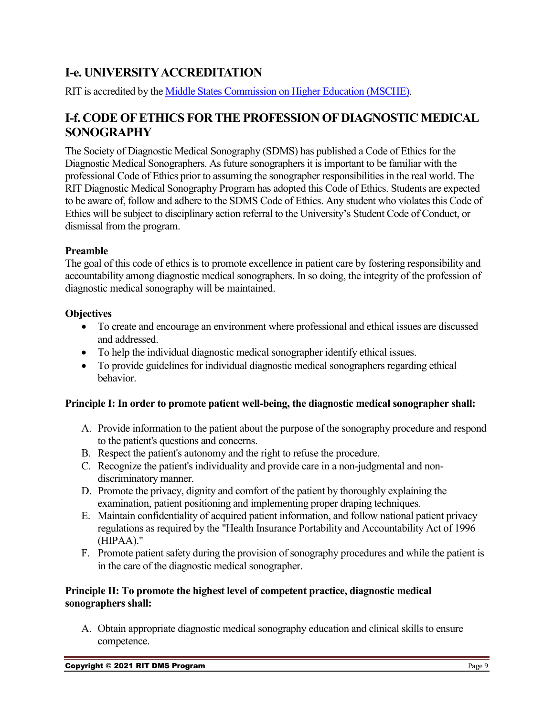### <span id="page-8-0"></span>**I-e. UNIVERSITY ACCREDITATION**

RIT is accredited by the [Middle States Commission on Higher Education \(MSCHE\).](https://www.msche.org/)

### <span id="page-8-1"></span>**I-f. CODE OF ETHICS FOR THE PROFESSION OF DIAGNOSTIC MEDICAL SONOGRAPHY**

The Society of Diagnostic Medical Sonography (SDMS) has published a Code of Ethics for the Diagnostic Medical Sonographers. As future sonographers it is important to be familiar with the professional Code of Ethics prior to assuming the sonographer responsibilities in the real world. The RIT Diagnostic Medical Sonography Program has adopted this Code of Ethics. Students are expected to be aware of, follow and adhere to the SDMS Code of Ethics. Any student who violates this Code of Ethics will be subject to disciplinary action referral to the University's Student Code of Conduct, or dismissal from the program.

### **Preamble**

The goal of this code of ethics is to promote excellence in patient care by fostering responsibility and accountability among diagnostic medical sonographers. In so doing, the integrity of the profession of diagnostic medical sonography will be maintained.

### **Objectives**

- To create and encourage an environment where professional and ethical issues are discussed and addressed.
- To help the individual diagnostic medical sonographer identify ethical issues.
- To provide guidelines for individual diagnostic medical sonographers regarding ethical behavior.

### **Principle I: In order to promote patient well-being, the diagnostic medical sonographer shall:**

- A. Provide information to the patient about the purpose of the sonography procedure and respond to the patient's questions and concerns.
- B. Respect the patient's autonomy and the right to refuse the procedure.
- C. Recognize the patient's individuality and provide care in a non-judgmental and nondiscriminatory manner.
- D. Promote the privacy, dignity and comfort of the patient by thoroughly explaining the examination, patient positioning and implementing proper draping techniques.
- E. Maintain confidentiality of acquired patient information, and follow national patient privacy regulations as required by the "Health Insurance Portability and Accountability Act of 1996 (HIPAA)."
- F. Promote patient safety during the provision of sonography procedures and while the patient is in the care of the diagnostic medical sonographer.

### **Principle II: To promote the highest level of competent practice, diagnostic medical sonographers shall:**

A. Obtain appropriate diagnostic medical sonography education and clinical skills to ensure competence.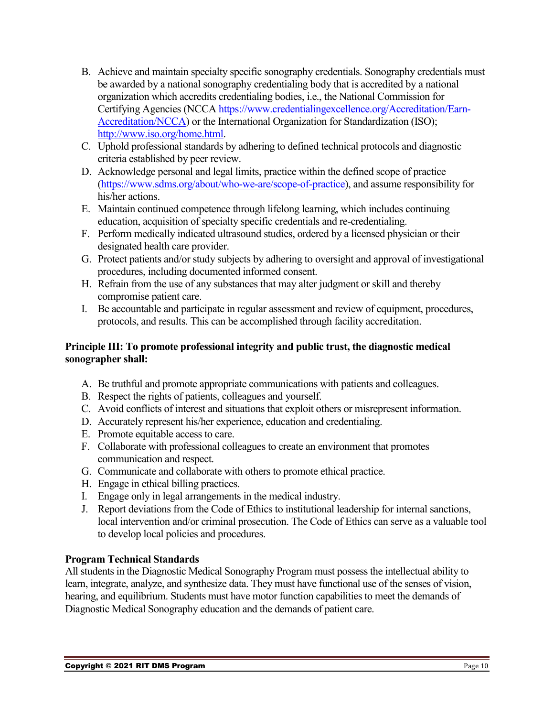- B. Achieve and maintain specialty specific sonography credentials. Sonography credentials must be awarded by a national sonography credentialing body that is accredited by a national organization which accredits credentialing bodies, i.e., the National Commission for Certifying Agencies (NCCA [https://www.credentialingexcellence.org/Accreditation/Earn-](https://www.credentialingexcellence.org/Accreditation/Earn-Accreditation/NCCA)[Accreditation/NCCA\)](https://www.credentialingexcellence.org/Accreditation/Earn-Accreditation/NCCA) or the International Organization for Standardization (ISO); [http://www.iso.org/home.html.](http://www.iso.org/home.html)
- C. Uphold professional standards by adhering to defined technical protocols and diagnostic criteria established by peer review.
- D. Acknowledge personal and legal limits, practice within the defined scope of practice [\(https://www.sdms.org/about/who-we-are/scope-of-practice\)](https://www.sdms.org/about/who-we-are/scope-of-practice), and assume responsibility for his/her actions.
- E. Maintain continued competence through lifelong learning, which includes continuing education, acquisition of specialty specific credentials and re-credentialing.
- F. Perform medically indicated ultrasound studies, ordered by a licensed physician or their designated health care provider.
- G. Protect patients and/or study subjects by adhering to oversight and approval of investigational procedures, including documented informed consent.
- H. Refrain from the use of any substances that may alter judgment or skill and thereby compromise patient care.
- I. Be accountable and participate in regular assessment and review of equipment, procedures, protocols, and results. This can be accomplished through facility accreditation.

#### **Principle III: To promote professional integrity and public trust, the diagnostic medical sonographer shall:**

- A. Be truthful and promote appropriate communications with patients and colleagues.
- B. Respect the rights of patients, colleagues and yourself.
- C. Avoid conflicts of interest and situations that exploit others or misrepresent information.
- D. Accurately represent his/her experience, education and credentialing.
- E. Promote equitable access to care.
- F. Collaborate with professional colleagues to create an environment that promotes communication and respect.
- G. Communicate and collaborate with others to promote ethical practice.
- H. Engage in ethical billing practices.
- I. Engage only in legal arrangements in the medical industry.
- J. Report deviations from the Code of Ethics to institutional leadership for internal sanctions, local intervention and/or criminal prosecution. The Code of Ethics can serve as a valuable tool to develop local policies and procedures.

### **Program Technical Standards**

All students in the Diagnostic Medical Sonography Program must possess the intellectual ability to learn, integrate, analyze, and synthesize data. They must have functional use of the senses of vision, hearing, and equilibrium. Students must have motor function capabilities to meet the demands of Diagnostic Medical Sonography education and the demands of patient care.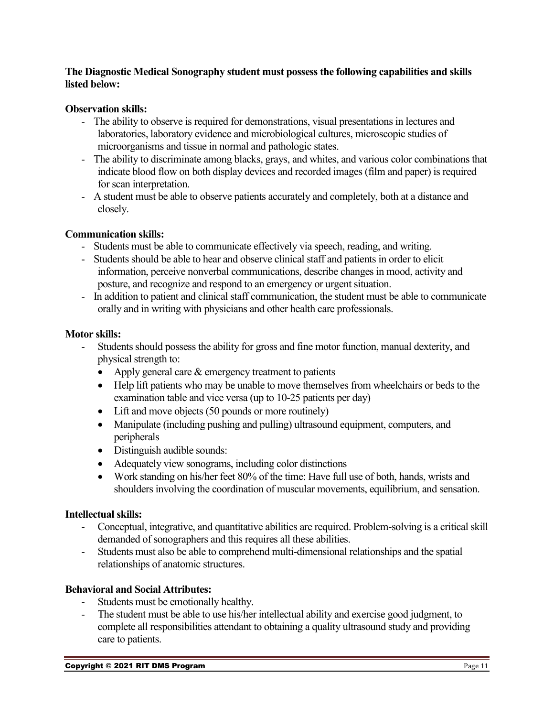#### **The Diagnostic Medical Sonography student must possess the following capabilities and skills listed below:**

#### **Observation skills:**

- The ability to observe is required for demonstrations, visual presentations in lectures and laboratories, laboratory evidence and microbiological cultures, microscopic studies of microorganisms and tissue in normal and pathologic states.
- The ability to discriminate among blacks, grays, and whites, and various color combinations that indicate blood flow on both display devices and recorded images (film and paper) is required for scan interpretation.
- A student must be able to observe patients accurately and completely, both at a distance and closely.

#### **Communication skills:**

- Students must be able to communicate effectively via speech, reading, and writing.
- Students should be able to hear and observe clinical staff and patients in order to elicit information, perceive nonverbal communications, describe changes in mood, activity and posture, and recognize and respond to an emergency or urgent situation.
- In addition to patient and clinical staff communication, the student must be able to communicate orally and in writing with physicians and other health care professionals.

#### **Motor skills:**

- Students should possess the ability for gross and fine motor function, manual dexterity, and physical strength to:
	- Apply general care & emergency treatment to patients
	- Help lift patients who may be unable to move themselves from wheelchairs or beds to the examination table and vice versa (up to 10-25 patients per day)
	- Lift and move objects (50 pounds or more routinely)
	- Manipulate (including pushing and pulling) ultrasound equipment, computers, and peripherals
	- Distinguish audible sounds:
	- Adequately view sonograms, including color distinctions
	- Work standing on his/her feet 80% of the time: Have full use of both, hands, wrists and shoulders involving the coordination of muscular movements, equilibrium, and sensation.

#### **Intellectual skills:**

- Conceptual, integrative, and quantitative abilities are required. Problem-solving is a critical skill demanded of sonographers and this requires all these abilities.
- Students must also be able to comprehend multi-dimensional relationships and the spatial relationships of anatomic structures.

#### **Behavioral and Social Attributes:**

- Students must be emotionally healthy.
- The student must be able to use his/her intellectual ability and exercise good judgment, to complete all responsibilities attendant to obtaining a quality ultrasound study and providing care to patients.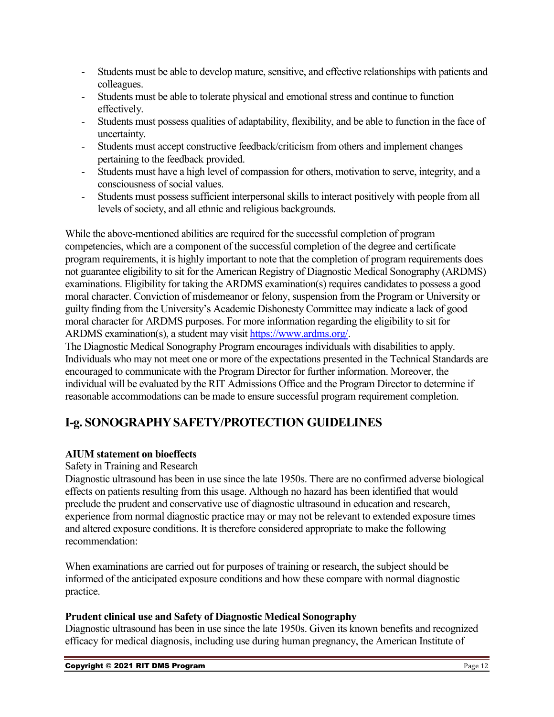- Students must be able to develop mature, sensitive, and effective relationships with patients and colleagues.
- Students must be able to tolerate physical and emotional stress and continue to function effectively.
- Students must possess qualities of adaptability, flexibility, and be able to function in the face of uncertainty.
- Students must accept constructive feedback/criticism from others and implement changes pertaining to the feedback provided.
- Students must have a high level of compassion for others, motivation to serve, integrity, and a consciousness of social values.
- Students must possess sufficient interpersonal skills to interact positively with people from all levels of society, and all ethnic and religious backgrounds.

While the above-mentioned abilities are required for the successful completion of program competencies, which are a component of the successful completion of the degree and certificate program requirements, it is highly important to note that the completion of program requirements does not guarantee eligibility to sit for the American Registry of Diagnostic Medical Sonography (ARDMS) examinations. Eligibility for taking the ARDMS examination(s) requires candidates to possess a good moral character. Conviction of misdemeanor or felony, suspension from the Program or University or guilty finding from the University's Academic Dishonesty Committee may indicate a lack of good moral character for ARDMS purposes. For more information regarding the eligibility to sit for ARDMS examination(s), a student may visit [https://www.ardms.org/.](https://www.ardms.org/)

The Diagnostic Medical Sonography Program encourages individuals with disabilities to apply. Individuals who may not meet one or more of the expectations presented in the Technical Standards are encouraged to communicate with the Program Director for further information. Moreover, the individual will be evaluated by the RIT Admissions Office and the Program Director to determine if reasonable accommodations can be made to ensure successful program requirement completion.

### <span id="page-11-0"></span>**I-g. SONOGRAPHY SAFETY/PROTECTION GUIDELINES**

#### **AIUM statement on bioeffects**

Safety in Training and Research

Diagnostic ultrasound has been in use since the late 1950s. There are no confirmed adverse biological effects on patients resulting from this usage. Although no hazard has been identified that would preclude the prudent and conservative use of diagnostic ultrasound in education and research, experience from normal diagnostic practice may or may not be relevant to extended exposure times and altered exposure conditions. It is therefore considered appropriate to make the following recommendation:

When examinations are carried out for purposes of training or research, the subject should be informed of the anticipated exposure conditions and how these compare with normal diagnostic practice.

#### **Prudent clinical use and Safety of Diagnostic Medical Sonography**

Diagnostic ultrasound has been in use since the late 1950s. Given its known benefits and recognized efficacy for medical diagnosis, including use during human pregnancy, the American Institute of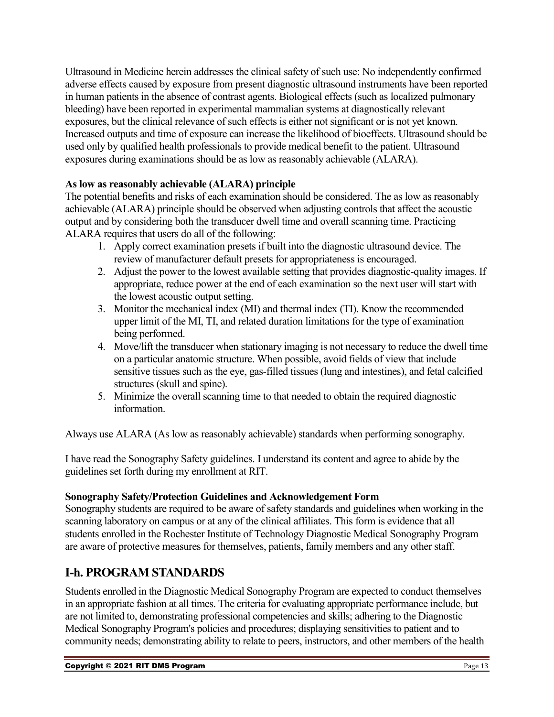Ultrasound in Medicine herein addresses the clinical safety of such use: No independently confirmed adverse effects caused by exposure from present diagnostic ultrasound instruments have been reported in human patients in the absence of contrast agents. Biological effects (such as localized pulmonary bleeding) have been reported in experimental mammalian systems at diagnostically relevant exposures, but the clinical relevance of such effects is either not significant or is not yet known. Increased outputs and time of exposure can increase the likelihood of bioeffects. Ultrasound should be used only by qualified health professionals to provide medical benefit to the patient. Ultrasound exposures during examinations should be as low as reasonably achievable (ALARA).

### **As low as reasonably achievable (ALARA) principle**

The potential benefits and risks of each examination should be considered. The as low as reasonably achievable (ALARA) principle should be observed when adjusting controls that affect the acoustic output and by considering both the transducer dwell time and overall scanning time. Practicing ALARA requires that users do all of the following:

- 1. Apply correct examination presets if built into the diagnostic ultrasound device. The review of manufacturer default presets for appropriateness is encouraged.
- 2. Adjust the power to the lowest available setting that provides diagnostic-quality images. If appropriate, reduce power at the end of each examination so the next user will start with the lowest acoustic output setting.
- 3. Monitor the mechanical index (MI) and thermal index (TI). Know the recommended upper limit of the MI, TI, and related duration limitations for the type of examination being performed.
- 4. Move/lift the transducer when stationary imaging is not necessary to reduce the dwell time on a particular anatomic structure. When possible, avoid fields of view that include sensitive tissues such as the eye, gas-filled tissues (lung and intestines), and fetal calcified structures (skull and spine).
- 5. Minimize the overall scanning time to that needed to obtain the required diagnostic information.

Always use ALARA (As low as reasonably achievable) standards when performing sonography.

I have read the Sonography Safety guidelines. I understand its content and agree to abide by the guidelines set forth during my enrollment at RIT.

#### **Sonography Safety/Protection Guidelines and Acknowledgement Form**

Sonography students are required to be aware of safety standards and guidelines when working in the scanning laboratory on campus or at any of the clinical affiliates. This form is evidence that all students enrolled in the Rochester Institute of Technology Diagnostic Medical Sonography Program are aware of protective measures for themselves, patients, family members and any other staff.

### <span id="page-12-0"></span>**I-h. PROGRAM STANDARDS**

Students enrolled in the Diagnostic Medical Sonography Program are expected to conduct themselves in an appropriate fashion at all times. The criteria for evaluating appropriate performance include, but are not limited to, demonstrating professional competencies and skills; adhering to the Diagnostic Medical Sonography Program's policies and procedures; displaying sensitivities to patient and to community needs; demonstrating ability to relate to peers, instructors, and other members of the health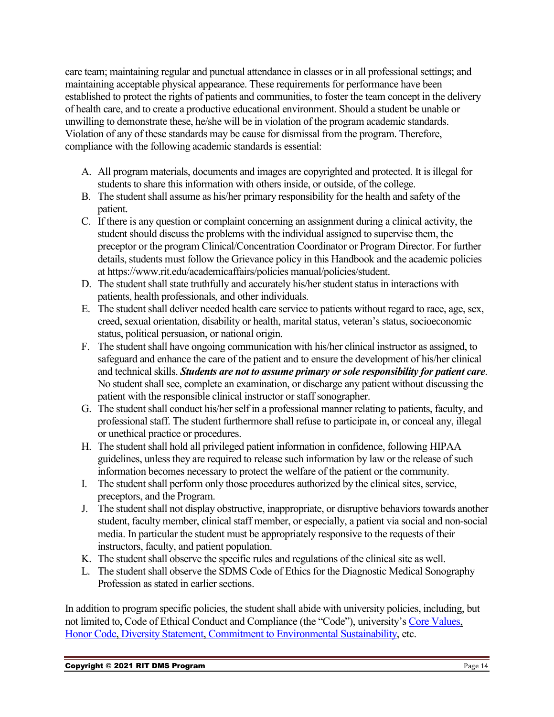care team; maintaining regular and punctual attendance in classes or in all professional settings; and maintaining acceptable physical appearance. These requirements for performance have been established to protect the rights of patients and communities, to foster the team concept in the delivery of health care, and to create a productive educational environment. Should a student be unable or unwilling to demonstrate these, he/she will be in violation of the program academic standards. Violation of any of these standards may be cause for dismissal from the program. Therefore, compliance with the following academic standards is essential:

- A. All program materials, documents and images are copyrighted and protected. It is illegal for students to share this information with others inside, or outside, of the college.
- B. The student shall assume as his/her primary responsibility for the health and safety of the patient.
- C. If there is any question or complaint concerning an assignment during a clinical activity, the student should discuss the problems with the individual assigned to supervise them, the preceptor or the program Clinical/Concentration Coordinator or Program Director. For further details, students must follow the Grievance policy in this Handbook and the academic policies at https://www.rit.edu/academicaffairs/policies manual/policies/student.
- D. The student shall state truthfully and accurately his/her student status in interactions with patients, health professionals, and other individuals.
- E. The student shall deliver needed health care service to patients without regard to race, age, sex, creed, sexual orientation, disability or health, marital status, veteran's status, socioeconomic status, political persuasion, or national origin.
- F. The student shall have ongoing communication with his/her clinical instructor as assigned, to safeguard and enhance the care of the patient and to ensure the development of his/her clinical and technical skills. *Students are not to assume primary or sole responsibility for patient care*. No student shall see, complete an examination, or discharge any patient without discussing the patient with the responsible clinical instructor or staff sonographer.
- G. The student shall conduct his/her self in a professional manner relating to patients, faculty, and professional staff. The student furthermore shall refuse to participate in, or conceal any, illegal or unethical practice or procedures.
- H. The student shall hold all privileged patient information in confidence, following HIPAA guidelines, unless they are required to release such information by law or the release of such information becomes necessary to protect the welfare of the patient or the community.
- I. The student shall perform only those procedures authorized by the clinical sites, service, preceptors, and the Program.
- J. The student shall not display obstructive, inappropriate, or disruptive behaviors towards another student, faculty member, clinical staff member, or especially, a patient via social and non-social media. In particular the student must be appropriately responsive to the requests of their instructors, faculty, and patient population.
- K. The student shall observe the specific rules and regulations of the clinical site as well.
- L. The student shall observe the SDMS Code of Ethics for the Diagnostic Medical Sonography Profession as stated in earlier sections.

In addition to program specific policies, the student shall abide with university policies, including, but not limited to, Code of Ethical Conduct and Compliance (the "Code"), university's [Core Values,](https://www.rit.edu/academicaffairs/policiesmanual/p040) [Honor Code,](https://www.rit.edu/academicaffairs/policiesmanual/p030) [Diversity Statement,](https://www.rit.edu/academicaffairs/policiesmanual/p050) [Commitment to Environmental Sustainability,](https://www.rit.edu/academicaffairs/policiesmanual/p060) etc.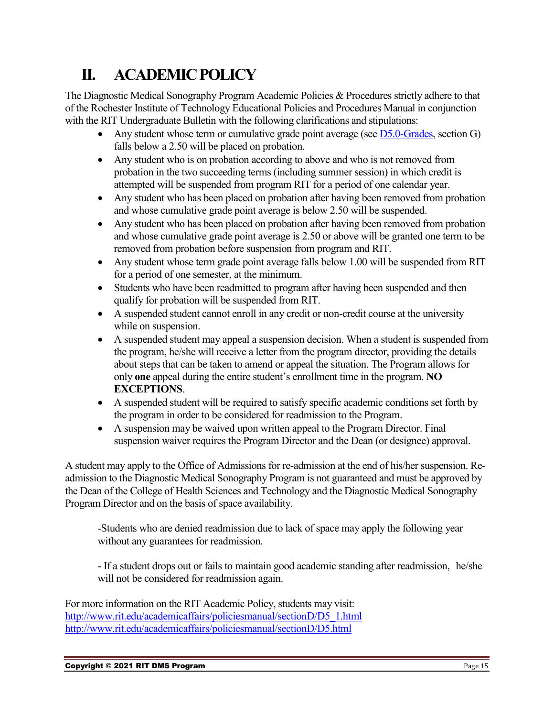## <span id="page-14-0"></span>**II. ACADEMIC POLICY**

The Diagnostic Medical Sonography Program Academic Policies & Procedures strictly adhere to that of the Rochester Institute of Technology Educational Policies and Procedures Manual in conjunction with the RIT Undergraduate Bulletin with the following clarifications and stipulations:

- Any student whose term or cumulative grade point average (see  $\overline{D5.0}$ -Grades, section G) falls below a 2.50 will be placed on probation.
- Any student who is on probation according to above and who is not removed from probation in the two succeeding terms (including summer session) in which credit is attempted will be suspended from program RIT for a period of one calendar year.
- Any student who has been placed on probation after having been removed from probation and whose cumulative grade point average is below 2.50 will be suspended.
- Any student who has been placed on probation after having been removed from probation and whose cumulative grade point average is 2.50 or above will be granted one term to be removed from probation before suspension from program and RIT.
- Any student whose term grade point average falls below 1.00 will be suspended from RIT for a period of one semester, at the minimum.
- Students who have been readmitted to program after having been suspended and then qualify for probation will be suspended from RIT.
- A suspended student cannot enroll in any credit or non-credit course at the university while on suspension.
- A suspended student may appeal a suspension decision. When a student is suspended from the program, he/she will receive a letter from the program director, providing the details about steps that can be taken to amend or appeal the situation. The Program allows for only **one** appeal during the entire student's enrollment time in the program. **NO EXCEPTIONS**.
- A suspended student will be required to satisfy specific academic conditions set forth by the program in order to be considered for readmission to the Program.
- A suspension may be waived upon written appeal to the Program Director. Final suspension waiver requires the Program Director and the Dean (or designee) approval.

A student may apply to the Office of Admissions for re-admission at the end of his/her suspension. Readmission to the Diagnostic Medical Sonography Program is not guaranteed and must be approved by the Dean of the College of Health Sciences and Technology and the Diagnostic Medical Sonography Program Director and on the basis of space availability.

-Students who are denied readmission due to lack of space may apply the following year without any guarantees for readmission.

- If a student drops out or fails to maintain good academic standing after readmission, he/she will not be considered for readmission again.

For more information on the RIT Academic Policy, students may visit: [http://www.rit.edu/academicaffairs/policiesmanual/sectionD/D5\\_1.html](http://www.rit.edu/academicaffairs/policiesmanual/sectionD/D5_1.html) <http://www.rit.edu/academicaffairs/policiesmanual/sectionD/D5.html>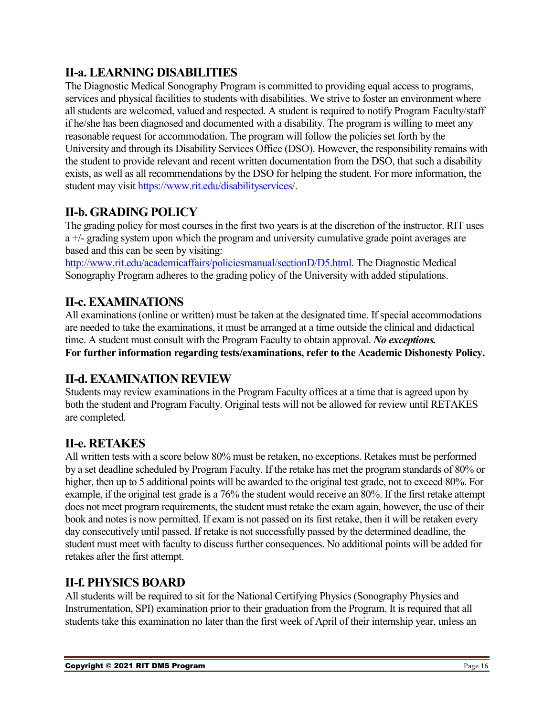### <span id="page-15-0"></span>**II-a. LEARNING DISABILITIES**

The Diagnostic Medical Sonography Program is committed to providing equal access to programs, services and physical facilities to students with disabilities. We strive to foster an environment where all students are welcomed, valued and respected. A student is required to notify Program Faculty/staff if he/she has been diagnosed and documented with a disability. The program is willing to meet any reasonable request for accommodation. The program will follow the policies set forth by the University and through its Disability Services Office (DSO). However, the responsibility remains with the student to provide relevant and recent written documentation from the DSO, that such a disability exists, as well as all recommendations by the DSO for helping the student. For more information, the student may visit [https://www.rit.edu/disabilityservices/.](https://www.rit.edu/disabilityservices/)

### <span id="page-15-1"></span>**II-b. GRADING POLICY**

The grading policy for most courses in the first two years is at the discretion of the instructor. RIT uses a +/- grading system upon which the program and university cumulative grade point averages are based and this can be seen by visiting:

[http://www.rit.edu/academicaffairs/policiesmanual/sectionD/D5.html.](http://www.rit.edu/academicaffairs/policiesmanual/sectionD/D5.html) The Diagnostic Medical Sonography Program adheres to the grading policy of the University with added stipulations.

### <span id="page-15-2"></span>**II-c. EXAMINATIONS**

All examinations (online or written) must be taken at the designated time. If special accommodations are needed to take the examinations, it must be arranged at a time outside the clinical and didactical time. A student must consult with the Program Faculty to obtain approval. *No exceptions.* **For further information regarding tests/examinations, refer to the Academic Dishonesty Policy.**

### <span id="page-15-3"></span>**II-d. EXAMINATION REVIEW**

Students may review examinations in the Program Faculty offices at a time that is agreed upon by both the student and Program Faculty. Original tests will not be allowed for review until RETAKES are completed.

### <span id="page-15-4"></span>**II-e. RETAKES**

All written tests with a score below 80% must be retaken, no exceptions. Retakes must be performed by a set deadline scheduled by Program Faculty. If the retake has met the program standards of 80% or higher, then up to 5 additional points will be awarded to the original test grade, not to exceed 80%. For example, if the original test grade is a 76% the student would receive an 80%. If the first retake attempt does not meet program requirements, the student must retake the exam again, however, the use of their book and notes is now permitted. If exam is not passed on its first retake, then it will be retaken every day consecutively until passed. If retake is not successfully passed by the determined deadline, the student must meet with faculty to discuss further consequences. No additional points will be added for retakes after the first attempt.

### <span id="page-15-5"></span>**II-f. PHYSICS BOARD**

All students will be required to sit for the National Certifying Physics (Sonography Physics and Instrumentation, SPI) examination prior to their graduation from the Program. It is required that all students take this examination no later than the first week of April of their internship year, unless an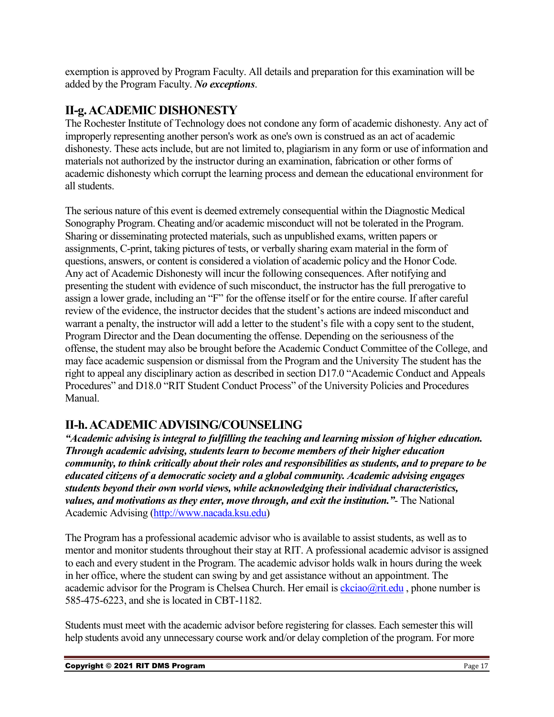exemption is approved by Program Faculty. All details and preparation for this examination will be added by the Program Faculty. *No exceptions*.

### <span id="page-16-0"></span>**II-g. ACADEMIC DISHONESTY**

The Rochester Institute of Technology does not condone any form of academic dishonesty. Any act of improperly representing another person's work as one's own is construed as an act of academic dishonesty. These acts include, but are not limited to, plagiarism in any form or use of information and materials not authorized by the instructor during an examination, fabrication or other forms of academic dishonesty which corrupt the learning process and demean the educational environment for all students.

The serious nature of this event is deemed extremely consequential within the Diagnostic Medical Sonography Program. Cheating and/or academic misconduct will not be tolerated in the Program. Sharing or disseminating protected materials, such as unpublished exams, written papers or assignments, C-print, taking pictures of tests, or verbally sharing exam material in the form of questions, answers, or content is considered a violation of academic policy and the Honor Code. Any act of Academic Dishonesty will incur the following consequences. After notifying and presenting the student with evidence of such misconduct, the instructor has the full prerogative to assign a lower grade, including an "F" for the offense itself or for the entire course. If after careful review of the evidence, the instructor decides that the student's actions are indeed misconduct and warrant a penalty, the instructor will add a letter to the student's file with a copy sent to the student, Program Director and the Dean documenting the offense. Depending on the seriousness of the offense, the student may also be brought before the Academic Conduct Committee of the College, and may face academic suspension or dismissal from the Program and the University The student has the right to appeal any disciplinary action as described in section D17.0 "Academic Conduct and Appeals Procedures" and D18.0 "RIT Student Conduct Process" of the University Policies and Procedures Manual.

### <span id="page-16-1"></span>**II-h. ACADEMIC ADVISING/COUNSELING**

*"Academic advising is integral to fulfilling the teaching and learning mission of higher education. Through academic advising, students learn to become members of their higher education community, to think critically about their roles and responsibilities as students, and to prepare to be educated citizens of a democratic society and a global community. Academic advising engages students beyond their own world views, while acknowledging their individual characteristics, values, and motivations as they enter, move through, and exit the institution."*- The National Academic Advising [\(http://www.nacada.ksu.edu\)](http://www.nacada.ksu.edu/)

The Program has a professional academic advisor who is available to assist students, as well as to mentor and monitor students throughout their stay at RIT. A professional academic advisor is assigned to each and every student in the Program. The academic advisor holds walk in hours during the week in her office, where the student can swing by and get assistance without an appointment. The academic advisor for the Program is Chelsea Church. Her email is  $\frac{\text{ckciao}(a)}{\text{rit.edu}}$ , phone number is 585-475-6223, and she is located in CBT-1182.

Students must meet with the academic advisor before registering for classes. Each semester this will help students avoid any unnecessary course work and/or delay completion of the program. For more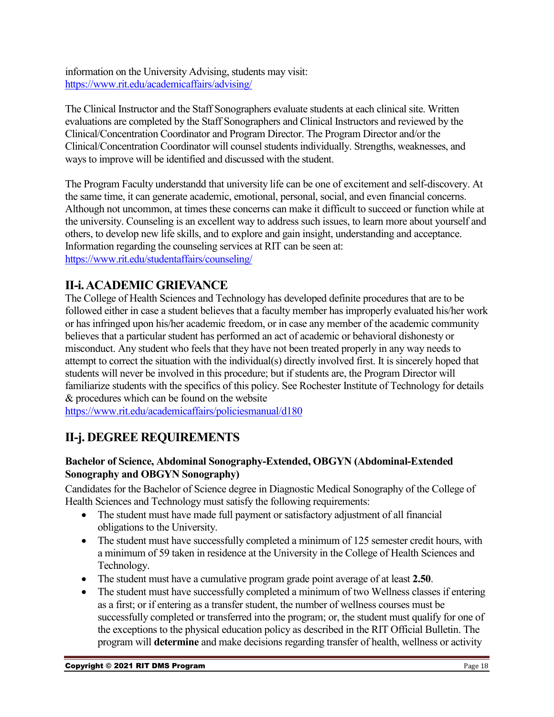information on the University Advising, students may visit: <https://www.rit.edu/academicaffairs/advising/>

The Clinical Instructor and the Staff Sonographers evaluate students at each clinical site. Written evaluations are completed by the Staff Sonographers and Clinical Instructors and reviewed by the Clinical/Concentration Coordinator and Program Director. The Program Director and/or the Clinical/Concentration Coordinator will counsel students individually. Strengths, weaknesses, and ways to improve will be identified and discussed with the student.

The Program Faculty understandd that university life can be one of excitement and self-discovery. At the same time, it can generate academic, emotional, personal, social, and even financial concerns. Although not uncommon, at times these concerns can make it difficult to succeed or function while at the university. Counseling is an excellent way to address such issues, to learn more about yourself and others, to develop new life skills, and to explore and gain insight, understanding and acceptance. Information regarding the counseling services at RIT can be seen at: <https://www.rit.edu/studentaffairs/counseling/>

### <span id="page-17-0"></span>**II-i. ACADEMIC GRIEVANCE**

The College of Health Sciences and Technology has developed definite procedures that are to be followed either in case a student believes that a faculty member has improperly evaluated his/her work or has infringed upon his/her academic freedom, or in case any member of the academic community believes that a particular student has performed an act of academic or behavioral dishonesty or misconduct. Any student who feels that they have not been treated properly in any way needs to attempt to correct the situation with the individual(s) directly involved first. It is sincerely hoped that students will never be involved in this procedure; but if students are, the Program Director will familiarize students with the specifics of this policy. See Rochester Institute of Technology for details & procedures which can be found on the website

<https://www.rit.edu/academicaffairs/policiesmanual/d180>

### <span id="page-17-1"></span>**II-j. DEGREE REQUIREMENTS**

### <span id="page-17-2"></span>**Bachelor of Science, Abdominal Sonography-Extended, OBGYN (Abdominal-Extended Sonography and OBGYN Sonography)**

Candidates for the Bachelor of Science degree in Diagnostic Medical Sonography of the College of Health Sciences and Technology must satisfy the following requirements:

- The student must have made full payment or satisfactory adjustment of all financial obligations to the University.
- The student must have successfully completed a minimum of 125 semester credit hours, with a minimum of 59 taken in residence at the University in the College of Health Sciences and Technology.
- The student must have a cumulative program grade point average of at least **2.50**.
- The student must have successfully completed a minimum of two Wellness classes if entering as a first; or if entering as a transfer student, the number of wellness courses must be successfully completed or transferred into the program; or, the student must qualify for one of the exceptions to the physical education policy as described in the RIT Official Bulletin. The program will **determine** and make decisions regarding transfer of health, wellness or activity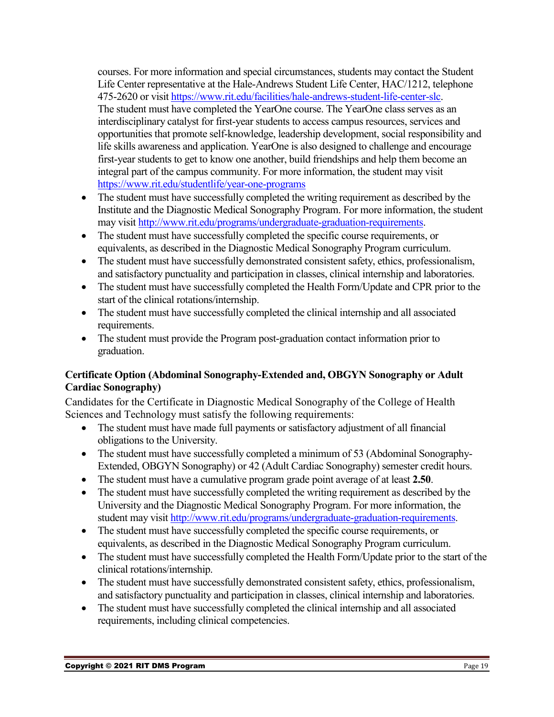courses. For more information and special circumstances, students may contact the Student Life Center representative at the Hale-Andrews Student Life Center, HAC/1212, telephone 475-2620 or visit [https://www.rit.edu/facilities/hale-andrews-student-life-center-slc.](https://www.rit.edu/facilities/hale-andrews-student-life-center-slc) The student must have completed the YearOne course. The YearOne class serves as an interdisciplinary catalyst for first-year students to access campus resources, services and opportunities that promote self-knowledge, leadership development, social responsibility and life skills awareness and application. YearOne is also designed to challenge and encourage first-year students to get to know one another, build friendships and help them become an integral part of the campus community. For more information, the student may visit <https://www.rit.edu/studentlife/year-one-programs>

- The student must have successfully completed the writing requirement as described by the Institute and the Diagnostic Medical Sonography Program. For more information, the student may visit [http://www.rit.edu/programs/undergraduate-graduation-requirements.](http://www.rit.edu/programs/undergraduate-graduation-requirements)
- The student must have successfully completed the specific course requirements, or equivalents, as described in the Diagnostic Medical Sonography Program curriculum.
- The student must have successfully demonstrated consistent safety, ethics, professionalism, and satisfactory punctuality and participation in classes, clinical internship and laboratories.
- The student must have successfully completed the Health Form/Update and CPR prior to the start of the clinical rotations/internship.
- The student must have successfully completed the clinical internship and all associated requirements.
- The student must provide the Program post-graduation contact information prior to graduation.

### <span id="page-18-0"></span>**Certificate Option (Abdominal Sonography-Extended and, OBGYN Sonography or Adult Cardiac Sonography)**

Candidates for the Certificate in Diagnostic Medical Sonography of the College of Health Sciences and Technology must satisfy the following requirements:

- The student must have made full payments or satisfactory adjustment of all financial obligations to the University.
- The student must have successfully completed a minimum of 53 (Abdominal Sonography-Extended, OBGYN Sonography) or 42 (Adult Cardiac Sonography) semester credit hours.
- The student must have a cumulative program grade point average of at least **2.50**.
- The student must have successfully completed the writing requirement as described by the University and the Diagnostic Medical Sonography Program. For more information, the student may visit [http://www.rit.edu/programs/undergraduate-graduation-requirements.](http://www.rit.edu/programs/undergraduate-graduation-requirements)
- The student must have successfully completed the specific course requirements, or equivalents, as described in the Diagnostic Medical Sonography Program curriculum.
- The student must have successfully completed the Health Form/Update prior to the start of the clinical rotations/internship.
- The student must have successfully demonstrated consistent safety, ethics, professionalism, and satisfactory punctuality and participation in classes, clinical internship and laboratories.
- The student must have successfully completed the clinical internship and all associated requirements, including clinical competencies.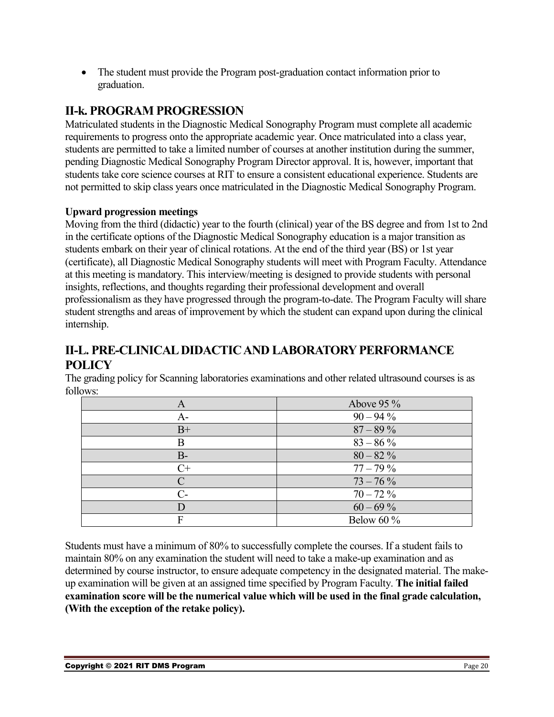• The student must provide the Program post-graduation contact information prior to graduation.

### <span id="page-19-0"></span>**II-k. PROGRAM PROGRESSION**

Matriculated students in the Diagnostic Medical Sonography Program must complete all academic requirements to progress onto the appropriate academic year. Once matriculated into a class year, students are permitted to take a limited number of courses at another institution during the summer, pending Diagnostic Medical Sonography Program Director approval. It is, however, important that students take core science courses at RIT to ensure a consistent educational experience. Students are not permitted to skip class years once matriculated in the Diagnostic Medical Sonography Program.

### **Upward progression meetings**

Moving from the third (didactic) year to the fourth (clinical) year of the BS degree and from 1st to 2nd in the certificate options of the Diagnostic Medical Sonography education is a major transition as students embark on their year of clinical rotations. At the end of the third year (BS) or 1st year (certificate), all Diagnostic Medical Sonography students will meet with Program Faculty. Attendance at this meeting is mandatory. This interview/meeting is designed to provide students with personal insights, reflections, and thoughts regarding their professional development and overall professionalism as they have progressed through the program-to-date. The Program Faculty will share student strengths and areas of improvement by which the student can expand upon during the clinical internship.

### <span id="page-19-1"></span>**II-L. PRE-CLINICAL DIDACTIC AND LABORATORY PERFORMANCE POLICY**

The grading policy for Scanning laboratories examinations and other related ultrasound courses is as follows:

| A             | Above 95 %    |
|---------------|---------------|
| A-            | $90 - 94\%$   |
| $B+$          | $87 - 89\%$   |
| B             | $83 - 86\%$   |
| $B -$         | $80 - 82\%$   |
| $C+$          | $77 - 79\%$   |
| $\Gamma$      | $73 - 76\%$   |
| $\mathcal{C}$ | $70 - 72\%$   |
|               | $60 - 69\%$   |
| Е             | Below 60 $\%$ |

Students must have a minimum of 80% to successfully complete the courses. If a student fails to maintain 80% on any examination the student will need to take a make-up examination and as determined by course instructor, to ensure adequate competency in the designated material. The makeup examination will be given at an assigned time specified by Program Faculty. **The initial failed examination score will be the numerical value which will be used in the final grade calculation, (With the exception of the retake policy).**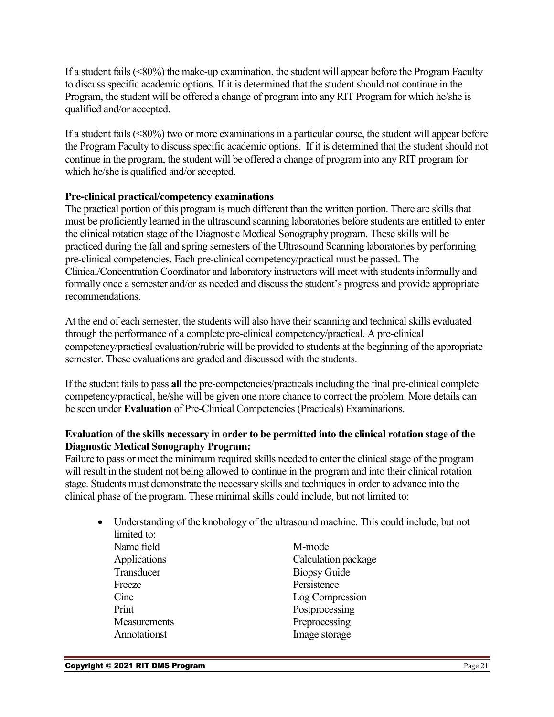If a student fails (<80%) the make-up examination, the student will appear before the Program Faculty to discuss specific academic options. If it is determined that the student should not continue in the Program, the student will be offered a change of program into any RIT Program for which he/she is qualified and/or accepted.

If a student fails  $(\leq80\%)$  two or more examinations in a particular course, the student will appear before the Program Faculty to discuss specific academic options. If it is determined that the student should not continue in the program, the student will be offered a change of program into any RIT program for which he/she is qualified and/or accepted.

#### **Pre-clinical practical/competency examinations**

The practical portion of this program is much different than the written portion. There are skills that must be proficiently learned in the ultrasound scanning laboratories before students are entitled to enter the clinical rotation stage of the Diagnostic Medical Sonography program. These skills will be practiced during the fall and spring semesters of the Ultrasound Scanning laboratories by performing pre-clinical competencies. Each pre-clinical competency/practical must be passed. The Clinical/Concentration Coordinator and laboratory instructors will meet with students informally and formally once a semester and/or as needed and discuss the student's progress and provide appropriate recommendations.

At the end of each semester, the students will also have their scanning and technical skills evaluated through the performance of a complete pre-clinical competency/practical. A pre-clinical competency/practical evaluation/rubric will be provided to students at the beginning of the appropriate semester. These evaluations are graded and discussed with the students.

If the student fails to pass **all** the pre-competencies/practicalsincluding the final pre-clinical complete competency/practical, he/she will be given one more chance to correct the problem. More details can be seen under **Evaluation** of Pre-Clinical Competencies (Practicals) Examinations.

#### **Evaluation of the skills necessary in order to be permitted into the clinical rotation stage of the Diagnostic Medical Sonography Program:**

Failure to pass or meet the minimum required skills needed to enter the clinical stage of the program will result in the student not being allowed to continue in the program and into their clinical rotation stage. Students must demonstrate the necessary skills and techniques in order to advance into the clinical phase of the program. These minimal skills could include, but not limited to:

• Understanding of the knobology of the ultrasound machine. This could include, but not limited to: Name field M-mode Applications Calculation package Transducer Biopsy Guide Freeze Persistence Cine Log Compression Print Postprocessing Measurements Preprocessing Annotationst Image storage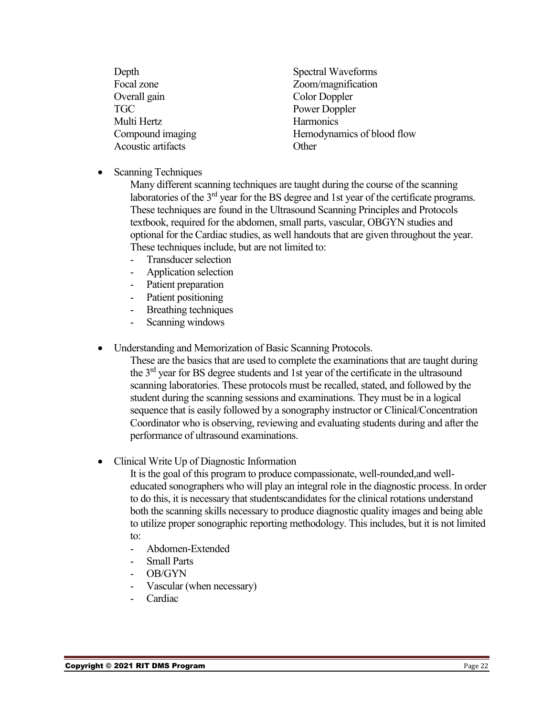| Depth              | Spectral Waveforms         |
|--------------------|----------------------------|
| Focal zone         | Zoom/magnification         |
| Overall gain       | <b>Color Doppler</b>       |
| <b>TGC</b>         | Power Doppler              |
| Multi Hertz        | Harmonics                  |
| Compound imaging   | Hemodynamics of blood flow |
| Acoustic artifacts | Other                      |
|                    |                            |

• Scanning Techniques

Many different scanning techniques are taught during the course of the scanning laboratories of the  $3<sup>rd</sup>$  year for the BS degree and 1st year of the certificate programs. These techniques are found in the Ultrasound Scanning Principles and Protocols textbook, required for the abdomen, small parts, vascular, OBGYN studies and optional for the Cardiac studies, as well handouts that are given throughout the year. These techniques include, but are not limited to:

- Transducer selection
- Application selection
- Patient preparation
- Patient positioning
- Breathing techniques
- Scanning windows
- Understanding and Memorization of Basic Scanning Protocols.

These are the basics that are used to complete the examinations that are taught during the 3rd year for BS degree students and 1st year of the certificate in the ultrasound scanning laboratories. These protocols must be recalled, stated, and followed by the student during the scanning sessions and examinations. They must be in a logical sequence that is easily followed by a sonography instructor or Clinical/Concentration Coordinator who is observing, reviewing and evaluating students during and after the performance of ultrasound examinations.

• Clinical Write Up of Diagnostic Information

It is the goal of this program to produce compassionate, well-rounded,and welleducated sonographers who will play an integral role in the diagnostic process. In order to do this, it is necessary that studentscandidates for the clinical rotations understand both the scanning skills necessary to produce diagnostic quality images and being able to utilize proper sonographic reporting methodology. This includes, but it is not limited to:

- Abdomen-Extended
- Small Parts
- OB/GYN
- Vascular (when necessary)
- Cardiac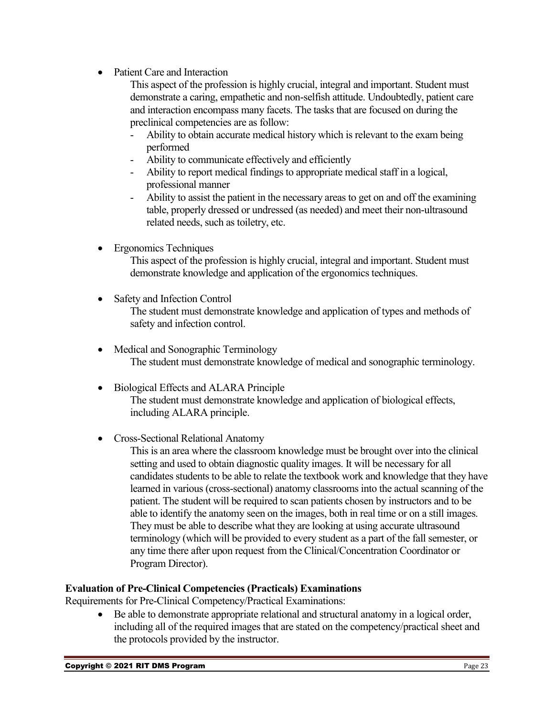- Patient Care and Interaction
	- This aspect of the profession is highly crucial, integral and important. Student must demonstrate a caring, empathetic and non-selfish attitude. Undoubtedly, patient care and interaction encompass many facets. The tasks that are focused on during the preclinical competencies are as follow:
	- Ability to obtain accurate medical history which is relevant to the exam being performed
	- Ability to communicate effectively and efficiently
	- Ability to report medical findings to appropriate medical staff in a logical, professional manner
	- Ability to assist the patient in the necessary areas to get on and off the examining table, properly dressed or undressed (as needed) and meet their non-ultrasound related needs, such as toiletry, etc.
- Ergonomics Techniques

This aspect of the profession is highly crucial, integral and important. Student must demonstrate knowledge and application of the ergonomics techniques.

- Safety and Infection Control The student must demonstrate knowledge and application of types and methods of safety and infection control.
- Medical and Sonographic Terminology The student must demonstrate knowledge of medical and sonographic terminology.
- Biological Effects and ALARA Principle The student must demonstrate knowledge and application of biological effects, including ALARA principle.
- Cross-Sectional Relational Anatomy
	- This is an area where the classroom knowledge must be brought over into the clinical setting and used to obtain diagnostic quality images. It will be necessary for all candidates students to be able to relate the textbook work and knowledge that they have learned in various (cross-sectional) anatomy classrooms into the actual scanning of the patient. The student will be required to scan patients chosen by instructors and to be able to identify the anatomy seen on the images, both in real time or on a still images. They must be able to describe what they are looking at using accurate ultrasound terminology (which will be provided to every student as a part of the fall semester, or any time there after upon request from the Clinical/Concentration Coordinator or Program Director).

#### **Evaluation of Pre-Clinical Competencies (Practicals) Examinations**

Requirements for Pre-Clinical Competency/Practical Examinations:

• Be able to demonstrate appropriate relational and structural anatomy in a logical order, including all of the required images that are stated on the competency/practical sheet and the protocols provided by the instructor.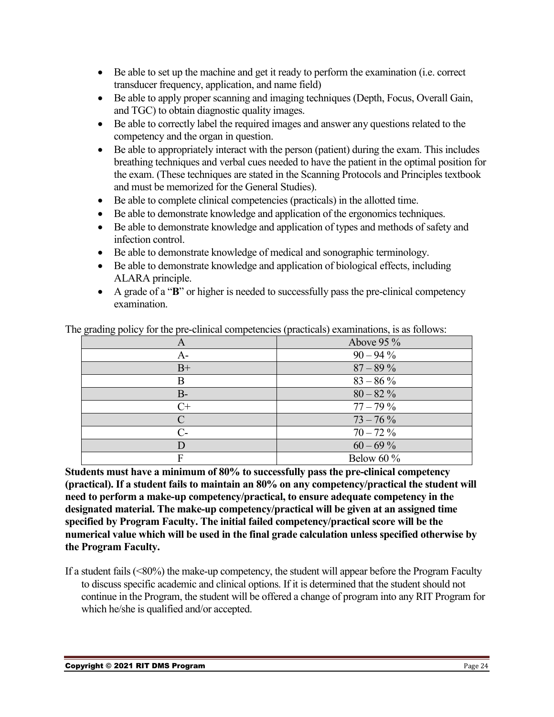- Be able to set up the machine and get it ready to perform the examination (i.e. correct transducer frequency, application, and name field)
- Be able to apply proper scanning and imaging techniques (Depth, Focus, Overall Gain, and TGC) to obtain diagnostic quality images.
- Be able to correctly label the required images and answer any questions related to the competency and the organ in question.
- Be able to appropriately interact with the person (patient) during the exam. This includes breathing techniques and verbal cues needed to have the patient in the optimal position for the exam. (These techniques are stated in the Scanning Protocols and Principles textbook and must be memorized for the General Studies).
- Be able to complete clinical competencies (practicals) in the allotted time.
- Be able to demonstrate knowledge and application of the ergonomics techniques.
- Be able to demonstrate knowledge and application of types and methods of safety and infection control.
- Be able to demonstrate knowledge of medical and sonographic terminology.
- Be able to demonstrate knowledge and application of biological effects, including ALARA principle.
- A grade of a "**B**" or higher is needed to successfully pass the pre-clinical competency examination.

| A             | Above $95\%$ |
|---------------|--------------|
| $A-$          | $90 - 94\%$  |
| $B+$          | $87 - 89\%$  |
| B             | $83 - 86\%$  |
| $B-$          | $80 - 82\%$  |
| $C+$          | $77 - 79\%$  |
| $\mathcal{C}$ | $73 - 76\%$  |
| $C_{\tau}$    | $70 - 72\%$  |
|               | $60 - 69\%$  |
| F             | Below 60 %   |

The grading policy for the pre-clinical competencies (practicals) examinations, is as follows:

**Students must have a minimum of 80% to successfully pass the pre-clinical competency (practical). If a student fails to maintain an 80% on any competency/practical the student will need to perform a make-up competency/practical, to ensure adequate competency in the designated material. The make-up competency/practical will be given at an assigned time specified by Program Faculty. The initial failed competency/practical score will be the numerical value which will be used in the final grade calculation unless specified otherwise by the Program Faculty.**

If a student fails (<80%) the make-up competency, the student will appear before the Program Faculty to discuss specific academic and clinical options. If it is determined that the student should not continue in the Program, the student will be offered a change of program into any RIT Program for which he/she is qualified and/or accepted.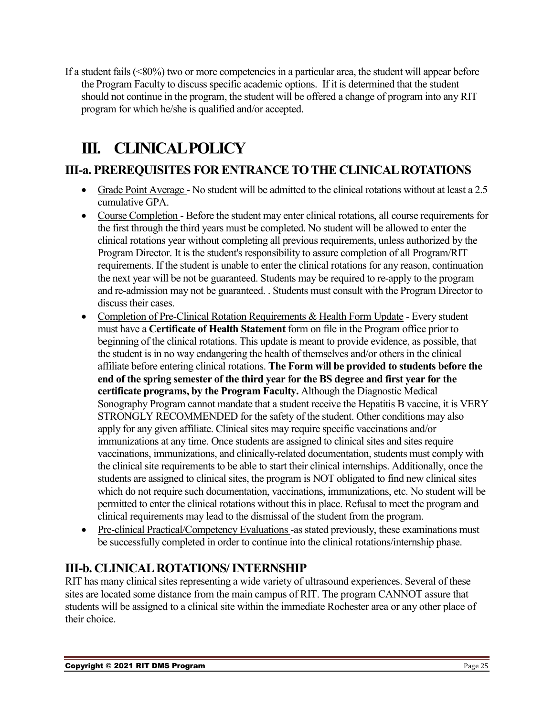If a student fails (<80%) two or more competencies in a particular area, the student will appear before the Program Faculty to discuss specific academic options. If it is determined that the student should not continue in the program, the student will be offered a change of program into any RIT program for which he/she is qualified and/or accepted.

### <span id="page-24-0"></span>**III. CLINICAL POLICY**

### <span id="page-24-1"></span>**III-a. PREREQUISITES FOR ENTRANCE TO THE CLINICAL ROTATIONS**

- Grade Point Average No student will be admitted to the clinical rotations without at least a 2.5 cumulative GPA.
- Course Completion Before the student may enter clinical rotations, all course requirements for the first through the third years must be completed. No student will be allowed to enter the clinical rotations year without completing all previous requirements, unless authorized by the Program Director. It is the student's responsibility to assure completion of all Program/RIT requirements. If the student is unable to enter the clinical rotations for any reason, continuation the next year will be not be guaranteed. Students may be required to re-apply to the program and re-admission may not be guaranteed. . Students must consult with the Program Director to discuss their cases.
- Completion of Pre-Clinical Rotation Requirements & Health Form Update Every student must have a **Certificate of Health Statement** form on file in the Program office prior to beginning of the clinical rotations. This update is meant to provide evidence, as possible, that the student is in no way endangering the health of themselves and/or others in the clinical affiliate before entering clinical rotations. **The Form will be provided to students before the end of the spring semester of the third year for the BS degree and first year for the certificate programs, by the Program Faculty.** Although the Diagnostic Medical Sonography Program cannot mandate that a student receive the Hepatitis B vaccine, it is VERY STRONGLY RECOMMENDED for the safety of the student. Other conditions may also apply for any given affiliate. Clinical sites may require specific vaccinations and/or immunizations at any time. Once students are assigned to clinical sites and sites require vaccinations, immunizations, and clinically-related documentation, students must comply with the clinical site requirements to be able to start their clinical internships. Additionally, once the students are assigned to clinical sites, the program is NOT obligated to find new clinical sites which do not require such documentation, vaccinations, immunizations, etc. No student will be permitted to enter the clinical rotations without this in place. Refusal to meet the program and clinical requirements may lead to the dismissal of the student from the program.
- Pre-clinical Practical/Competency Evaluations -as stated previously, these examinations must be successfully completed in order to continue into the clinical rotations/internship phase.

### <span id="page-24-2"></span>**III-b. CLINICAL ROTATIONS/ INTERNSHIP**

RIT has many clinical sites representing a wide variety of ultrasound experiences. Several of these sites are located some distance from the main campus of RIT. The program CANNOT assure that students will be assigned to a clinical site within the immediate Rochester area or any other place of their choice.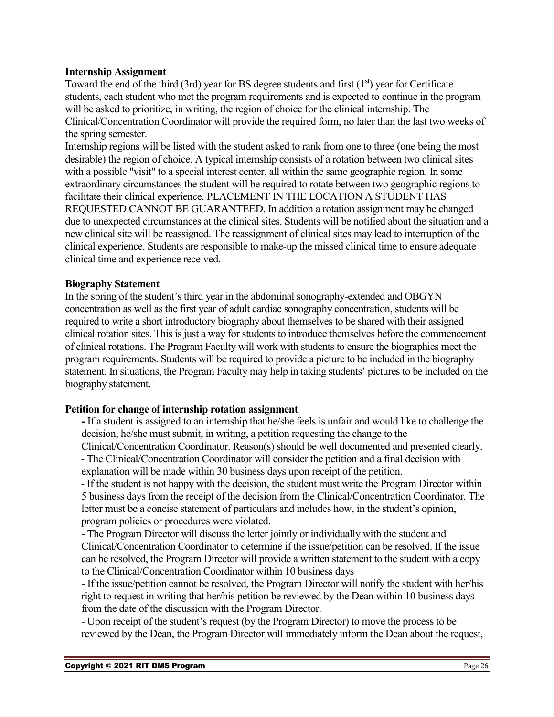#### **Internship Assignment**

Toward the end of the third (3rd) year for BS degree students and first  $(1<sup>st</sup>)$  year for Certificate students, each student who met the program requirements and is expected to continue in the program will be asked to prioritize, in writing, the region of choice for the clinical internship. The Clinical/Concentration Coordinator will provide the required form, no later than the last two weeks of the spring semester.

Internship regions will be listed with the student asked to rank from one to three (one being the most desirable) the region of choice. A typical internship consists of a rotation between two clinical sites with a possible "visit" to a special interest center, all within the same geographic region. In some extraordinary circumstances the student will be required to rotate between two geographic regions to facilitate their clinical experience. PLACEMENT IN THE LOCATION A STUDENT HAS REQUESTED CANNOT BE GUARANTEED. In addition a rotation assignment may be changed due to unexpected circumstances at the clinical sites. Students will be notified about the situation and a new clinical site will be reassigned. The reassignment of clinical sites may lead to interruption of the clinical experience. Students are responsible to make-up the missed clinical time to ensure adequate clinical time and experience received.

#### **Biography Statement**

In the spring of the student's third year in the abdominal sonography-extended and OBGYN concentration as well as the first year of adult cardiac sonography concentration, students will be required to write a short introductory biography about themselves to be shared with their assigned clinical rotation sites. This is just a way for students to introduce themselves before the commencement of clinical rotations. The Program Faculty will work with students to ensure the biographies meet the program requirements. Students will be required to provide a picture to be included in the biography statement. In situations, the Program Faculty may help in taking students' pictures to be included on the biography statement.

#### **Petition for change of internship rotation assignment**

**-** If a student is assigned to an internship that he/she feels is unfair and would like to challenge the decision, he/she must submit, in writing, a petition requesting the change to the

Clinical/Concentration Coordinator. Reason(s) should be well documented and presented clearly. - The Clinical/Concentration Coordinator will consider the petition and a final decision with explanation will be made within 30 business days upon receipt of the petition.

- If the student is not happy with the decision, the student must write the Program Director within 5 business days from the receipt of the decision from the Clinical/Concentration Coordinator. The letter must be a concise statement of particulars and includes how, in the student's opinion, program policies or procedures were violated.

- The Program Director will discuss the letter jointly or individually with the student and Clinical/Concentration Coordinator to determine if the issue/petition can be resolved. If the issue can be resolved, the Program Director will provide a written statement to the student with a copy to the Clinical/Concentration Coordinator within 10 business days

- If the issue/petition cannot be resolved, the Program Director will notify the student with her/his right to request in writing that her/his petition be reviewed by the Dean within 10 business days from the date of the discussion with the Program Director.

- Upon receipt of the student's request (by the Program Director) to move the process to be reviewed by the Dean, the Program Director will immediately inform the Dean about the request,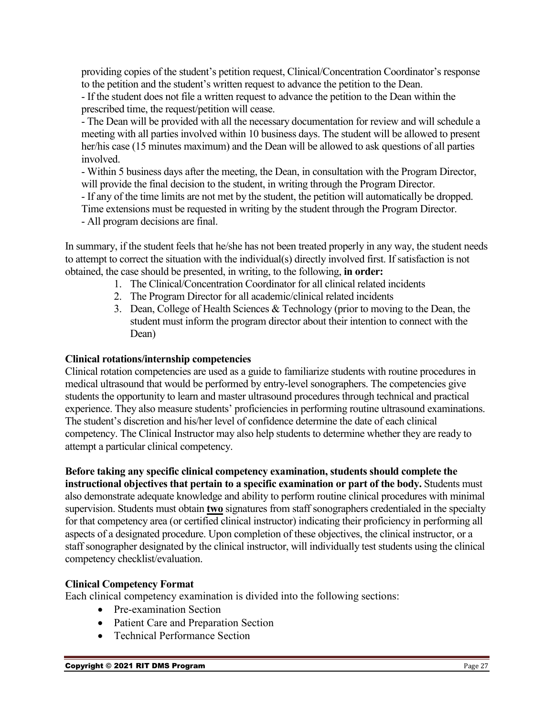providing copies of the student's petition request, Clinical/Concentration Coordinator's response to the petition and the student's written request to advance the petition to the Dean.

- If the student does not file a written request to advance the petition to the Dean within the prescribed time, the request/petition will cease.

- The Dean will be provided with all the necessary documentation for review and will schedule a meeting with all parties involved within 10 business days. The student will be allowed to present her/his case (15 minutes maximum) and the Dean will be allowed to ask questions of all parties involved.

- Within 5 business days after the meeting, the Dean, in consultation with the Program Director, will provide the final decision to the student, in writing through the Program Director.

- If any of the time limits are not met by the student, the petition will automatically be dropped. Time extensions must be requested in writing by the student through the Program Director.

- All program decisions are final.

In summary, if the student feels that he/she has not been treated properly in any way, the student needs to attempt to correct the situation with the individual(s) directly involved first. If satisfaction is not obtained, the case should be presented, in writing, to the following, **in order:**

- 1. The Clinical/Concentration Coordinator for all clinical related incidents
- 2. The Program Director for all academic/clinical related incidents
- 3. Dean, College of Health Sciences & Technology (prior to moving to the Dean, the student must inform the program director about their intention to connect with the Dean)

#### **Clinical rotations/internship competencies**

Clinical rotation competencies are used as a guide to familiarize students with routine procedures in medical ultrasound that would be performed by entry-level sonographers. The competencies give students the opportunity to learn and master ultrasound procedures through technical and practical experience. They also measure students' proficiencies in performing routine ultrasound examinations. The student's discretion and his/her level of confidence determine the date of each clinical competency. The Clinical Instructor may also help students to determine whether they are ready to attempt a particular clinical competency.

**Before taking any specific clinical competency examination, students should complete the instructional objectives that pertain to a specific examination or part of the body.** Students must

also demonstrate adequate knowledge and ability to perform routine clinical procedures with minimal supervision. Students must obtain **two** signatures from staff sonographers credentialed in the specialty for that competency area (or certified clinical instructor) indicating their proficiency in performing all aspects of a designated procedure. Upon completion of these objectives, the clinical instructor, or a staff sonographer designated by the clinical instructor, will individually test students using the clinical competency checklist/evaluation.

#### **Clinical Competency Format**

Each clinical competency examination is divided into the following sections:

- Pre-examination Section
- Patient Care and Preparation Section
- Technical Performance Section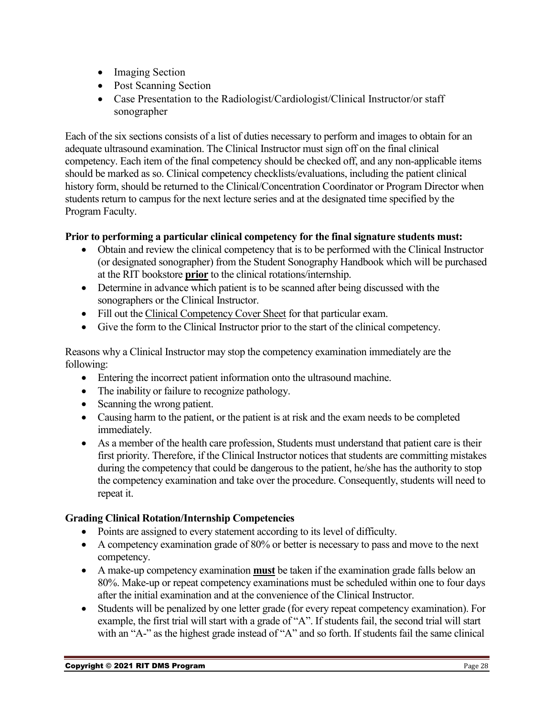- Imaging Section
- Post Scanning Section
- Case Presentation to the Radiologist/Cardiologist/Clinical Instructor/or staff sonographer

Each of the six sections consists of a list of duties necessary to perform and images to obtain for an adequate ultrasound examination. The Clinical Instructor must sign off on the final clinical competency. Each item of the final competency should be checked off, and any non-applicable items should be marked as so. Clinical competency checklists/evaluations, including the patient clinical history form, should be returned to the Clinical/Concentration Coordinator or Program Director when students return to campus for the next lecture series and at the designated time specified by the Program Faculty.

### **Prior to performing a particular clinical competency for the final signature students must:**

- Obtain and review the clinical competency that is to be performed with the Clinical Instructor (or designated sonographer) from the Student Sonography Handbook which will be purchased at the RIT bookstore **prior** to the clinical rotations/internship.
- Determine in advance which patient is to be scanned after being discussed with the sonographers or the Clinical Instructor.
- Fill out the Clinical Competency Cover Sheet for that particular exam.
- Give the form to the Clinical Instructor prior to the start of the clinical competency.

Reasons why a Clinical Instructor may stop the competency examination immediately are the following:

- Entering the incorrect patient information onto the ultrasound machine.
- The inability or failure to recognize pathology.
- Scanning the wrong patient.
- Causing harm to the patient, or the patient is at risk and the exam needs to be completed immediately.
- As a member of the health care profession, Students must understand that patient care is their first priority. Therefore, if the Clinical Instructor notices that students are committing mistakes during the competency that could be dangerous to the patient, he/she has the authority to stop the competency examination and take over the procedure. Consequently, students will need to repeat it.

#### **Grading Clinical Rotation/Internship Competencies**

- Points are assigned to every statement according to its level of difficulty.
- A competency examination grade of 80% or better is necessary to pass and move to the next competency.
- A make-up competency examination **must** be taken if the examination grade falls below an 80%. Make-up or repeat competency examinations must be scheduled within one to four days after the initial examination and at the convenience of the Clinical Instructor.
- Students will be penalized by one letter grade (for every repeat competency examination). For example, the first trial will start with a grade of "A". If students fail, the second trial will start with an "A-" as the highest grade instead of "A" and so forth. If students fail the same clinical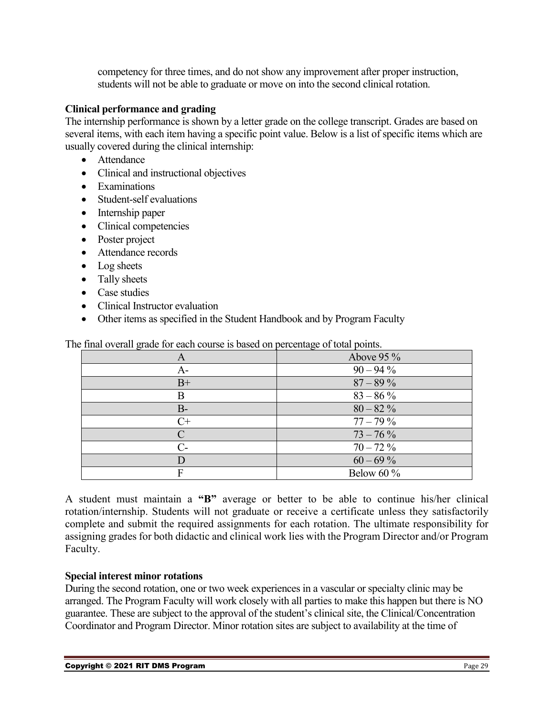competency for three times, and do not show any improvement after proper instruction, students will not be able to graduate or move on into the second clinical rotation.

#### **Clinical performance and grading**

The internship performance is shown by a letter grade on the college transcript. Grades are based on several items, with each item having a specific point value. Below is a list of specific items which are usually covered during the clinical internship:

- Attendance
- Clinical and instructional objectives
- Examinations
- Student-self evaluations
- Internship paper
- Clinical competencies
- Poster project
- Attendance records
- Log sheets
- Tally sheets
- Case studies
- Clinical Instructor evaluation
- Other items as specified in the Student Handbook and by Program Faculty

| A                    | Above $95\%$  |
|----------------------|---------------|
| A-                   | $90 - 94\%$   |
| $B+$                 | $87 - 89\%$   |
| В                    | $83 - 86\%$   |
| $B-$                 | $80 - 82\%$   |
| $C+$                 | $77 - 79\%$   |
| C                    | $73 - 76\%$   |
| $\mathsf{C}\text{-}$ | $70 - 72\%$   |
|                      | $60 - 69\%$   |
| F                    | Below 60 $\%$ |

The final overall grade for each course is based on percentage of total points.

A student must maintain a **"B"** average or better to be able to continue his/her clinical rotation/internship. Students will not graduate or receive a certificate unless they satisfactorily complete and submit the required assignments for each rotation. The ultimate responsibility for assigning grades for both didactic and clinical work lies with the Program Director and/or Program Faculty.

#### **Special interest minor rotations**

During the second rotation, one or two week experiences in a vascular or specialty clinic may be arranged. The Program Faculty will work closely with all parties to make this happen but there is NO guarantee. These are subject to the approval of the student's clinical site, the Clinical/Concentration Coordinator and Program Director. Minor rotation sites are subject to availability at the time of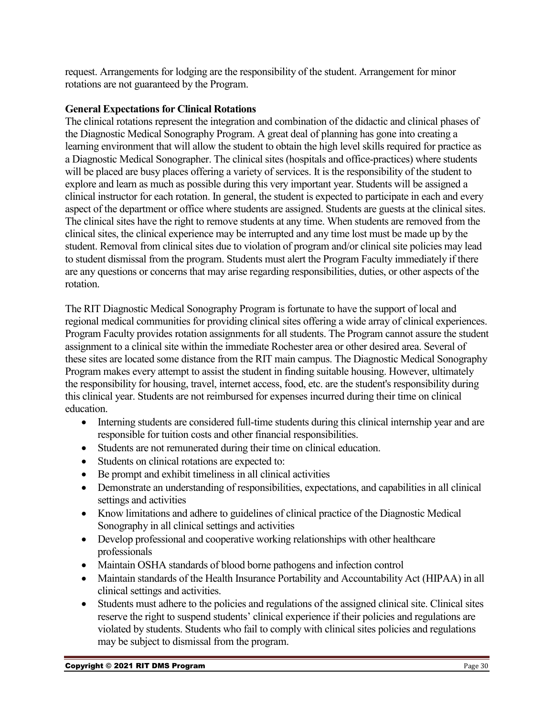request. Arrangements for lodging are the responsibility of the student. Arrangement for minor rotations are not guaranteed by the Program.

#### **General Expectations for Clinical Rotations**

The clinical rotations represent the integration and combination of the didactic and clinical phases of the Diagnostic Medical Sonography Program. A great deal of planning has gone into creating a learning environment that will allow the student to obtain the high level skills required for practice as a Diagnostic Medical Sonographer. The clinical sites (hospitals and office-practices) where students will be placed are busy places offering a variety of services. It is the responsibility of the student to explore and learn as much as possible during this very important year. Students will be assigned a clinical instructor for each rotation. In general, the student is expected to participate in each and every aspect of the department or office where students are assigned. Students are guests at the clinical sites. The clinical sites have the right to remove students at any time. When students are removed from the clinical sites, the clinical experience may be interrupted and any time lost must be made up by the student. Removal from clinical sites due to violation of program and/or clinical site policies may lead to student dismissal from the program. Students must alert the Program Faculty immediately if there are any questions or concerns that may arise regarding responsibilities, duties, or other aspects of the rotation.

The RIT Diagnostic Medical Sonography Program is fortunate to have the support of local and regional medical communities for providing clinical sites offering a wide array of clinical experiences. Program Faculty provides rotation assignments for all students. The Program cannot assure the student assignment to a clinical site within the immediate Rochester area or other desired area. Several of these sites are located some distance from the RIT main campus. The Diagnostic Medical Sonography Program makes every attempt to assist the student in finding suitable housing. However, ultimately the responsibility for housing, travel, internet access, food, etc. are the student's responsibility during this clinical year. Students are not reimbursed for expenses incurred during their time on clinical education.

- Interning students are considered full-time students during this clinical internship year and are responsible for tuition costs and other financial responsibilities.
- Students are not remunerated during their time on clinical education.
- Students on clinical rotations are expected to:
- Be prompt and exhibit timeliness in all clinical activities
- Demonstrate an understanding of responsibilities, expectations, and capabilities in all clinical settings and activities
- Know limitations and adhere to guidelines of clinical practice of the Diagnostic Medical Sonography in all clinical settings and activities
- Develop professional and cooperative working relationships with other healthcare professionals
- Maintain OSHA standards of blood borne pathogens and infection control
- Maintain standards of the Health Insurance Portability and Accountability Act (HIPAA) in all clinical settings and activities.
- Students must adhere to the policies and regulations of the assigned clinical site. Clinical sites reserve the right to suspend students' clinical experience if their policies and regulations are violated by students. Students who fail to comply with clinical sites policies and regulations may be subject to dismissal from the program.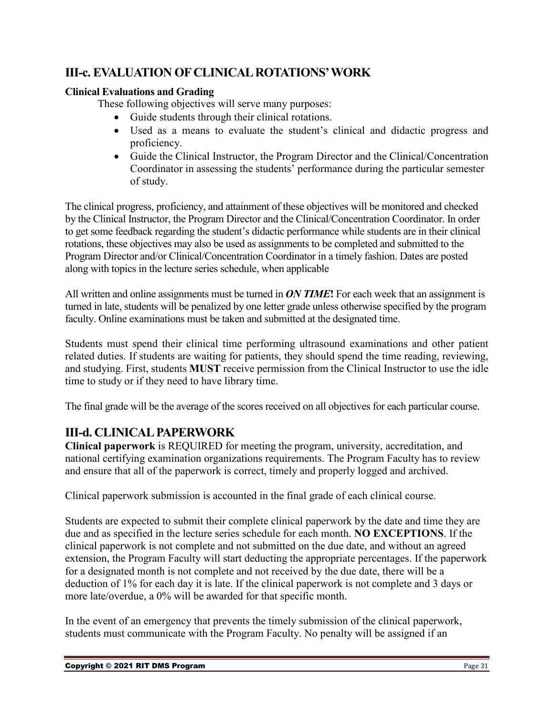### <span id="page-30-0"></span>**III-c. EVALUATION OF CLINICAL ROTATIONS' WORK**

#### **Clinical Evaluations and Grading**

These following objectives will serve many purposes:

- Guide students through their clinical rotations.
- Used as a means to evaluate the student's clinical and didactic progress and proficiency.
- Guide the Clinical Instructor, the Program Director and the Clinical/Concentration Coordinator in assessing the students' performance during the particular semester of study.

The clinical progress, proficiency, and attainment of these objectives will be monitored and checked by the Clinical Instructor, the Program Director and the Clinical/Concentration Coordinator. In order to get some feedback regarding the student's didactic performance while students are in their clinical rotations, these objectives may also be used as assignments to be completed and submitted to the Program Director and/or Clinical/Concentration Coordinator in a timely fashion. Dates are posted along with topics in the lecture series schedule, when applicable

All written and online assignments must be turned in *ON TIME***!** For each week that an assignment is turned in late, students will be penalized by one letter grade unless otherwise specified by the program faculty. Online examinations must be taken and submitted at the designated time.

Students must spend their clinical time performing ultrasound examinations and other patient related duties. If students are waiting for patients, they should spend the time reading, reviewing, and studying. First, students **MUST** receive permission from the Clinical Instructor to use the idle time to study or if they need to have library time.

The final grade will be the average of the scores received on all objectives for each particular course.

### <span id="page-30-1"></span>**III-d. CLINICAL PAPERWORK**

**Clinical paperwork** is REQUIRED for meeting the program, university, accreditation, and national certifying examination organizations requirements. The Program Faculty has to review and ensure that all of the paperwork is correct, timely and properly logged and archived.

Clinical paperwork submission is accounted in the final grade of each clinical course.

Students are expected to submit their complete clinical paperwork by the date and time they are due and as specified in the lecture series schedule for each month. **NO EXCEPTIONS**. If the clinical paperwork is not complete and not submitted on the due date, and without an agreed extension, the Program Faculty will start deducting the appropriate percentages. If the paperwork for a designated month is not complete and not received by the due date, there will be a deduction of 1% for each day it is late. If the clinical paperwork is not complete and 3 days or more late/overdue, a 0% will be awarded for that specific month.

In the event of an emergency that prevents the timely submission of the clinical paperwork, students must communicate with the Program Faculty. No penalty will be assigned if an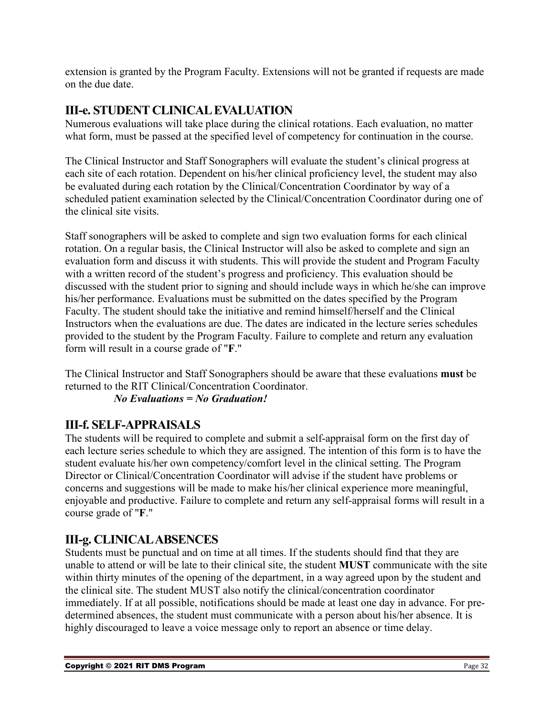extension is granted by the Program Faculty. Extensions will not be granted if requests are made on the due date.

### <span id="page-31-0"></span>**III-e. STUDENT CLINICAL EVALUATION**

Numerous evaluations will take place during the clinical rotations. Each evaluation, no matter what form, must be passed at the specified level of competency for continuation in the course.

The Clinical Instructor and Staff Sonographers will evaluate the student's clinical progress at each site of each rotation. Dependent on his/her clinical proficiency level, the student may also be evaluated during each rotation by the Clinical/Concentration Coordinator by way of a scheduled patient examination selected by the Clinical/Concentration Coordinator during one of the clinical site visits.

Staff sonographers will be asked to complete and sign two evaluation forms for each clinical rotation. On a regular basis, the Clinical Instructor will also be asked to complete and sign an evaluation form and discuss it with students. This will provide the student and Program Faculty with a written record of the student's progress and proficiency. This evaluation should be discussed with the student prior to signing and should include ways in which he/she can improve his/her performance. Evaluations must be submitted on the dates specified by the Program Faculty. The student should take the initiative and remind himself/herself and the Clinical Instructors when the evaluations are due. The dates are indicated in the lecture series schedules provided to the student by the Program Faculty. Failure to complete and return any evaluation form will result in a course grade of "**F**."

The Clinical Instructor and Staff Sonographers should be aware that these evaluations **must** be returned to the RIT Clinical/Concentration Coordinator.

### *No Evaluations = No Graduation!*

### <span id="page-31-1"></span>**III-f. SELF-APPRAISALS**

The students will be required to complete and submit a self-appraisal form on the first day of each lecture series schedule to which they are assigned. The intention of this form is to have the student evaluate his/her own competency/comfort level in the clinical setting. The Program Director or Clinical/Concentration Coordinator will advise if the student have problems or concerns and suggestions will be made to make his/her clinical experience more meaningful, enjoyable and productive. Failure to complete and return any self-appraisal forms will result in a course grade of "**F**."

### <span id="page-31-2"></span>**III-g. CLINICAL ABSENCES**

Students must be punctual and on time at all times. If the students should find that they are unable to attend or will be late to their clinical site, the student **MUST** communicate with the site within thirty minutes of the opening of the department, in a way agreed upon by the student and the clinical site. The student MUST also notify the clinical/concentration coordinator immediately. If at all possible, notifications should be made at least one day in advance. For predetermined absences, the student must communicate with a person about his/her absence. It is highly discouraged to leave a voice message only to report an absence or time delay.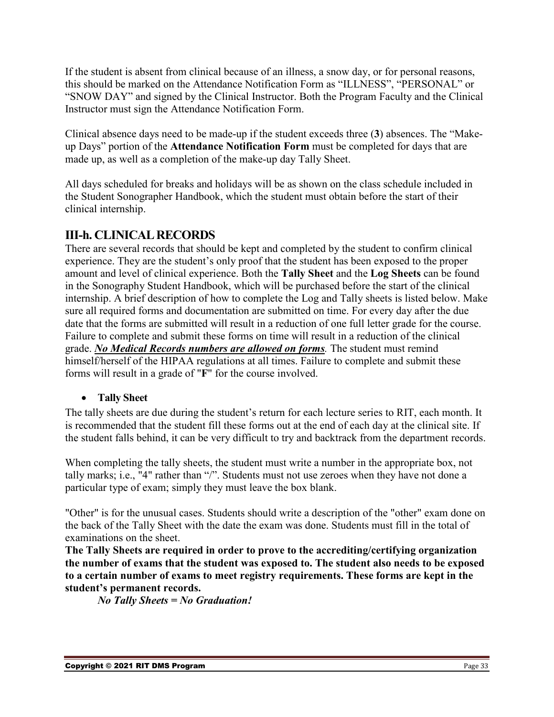If the student is absent from clinical because of an illness, a snow day, or for personal reasons, this should be marked on the Attendance Notification Form as "ILLNESS", "PERSONAL" or "SNOW DAY" and signed by the Clinical Instructor. Both the Program Faculty and the Clinical Instructor must sign the Attendance Notification Form.

Clinical absence days need to be made-up if the student exceeds three (**3**) absences. The "Makeup Days" portion of the **Attendance Notification Form** must be completed for days that are made up, as well as a completion of the make-up day Tally Sheet.

All days scheduled for breaks and holidays will be as shown on the class schedule included in the Student Sonographer Handbook, which the student must obtain before the start of their clinical internship.

### <span id="page-32-0"></span>**III-h. CLINICAL RECORDS**

There are several records that should be kept and completed by the student to confirm clinical experience. They are the student's only proof that the student has been exposed to the proper amount and level of clinical experience. Both the **Tally Sheet** and the **Log Sheets** can be found in the Sonography Student Handbook, which will be purchased before the start of the clinical internship. A brief description of how to complete the Log and Tally sheets is listed below. Make sure all required forms and documentation are submitted on time. For every day after the due date that the forms are submitted will result in a reduction of one full letter grade for the course. Failure to complete and submit these forms on time will result in a reduction of the clinical grade. *No Medical Records numbers are allowed on forms.* The student must remind himself/herself of the HIPAA regulations at all times. Failure to complete and submit these forms will result in a grade of "**F**" for the course involved.

### <span id="page-32-1"></span>• **Tally Sheet**

The tally sheets are due during the student's return for each lecture series to RIT, each month. It is recommended that the student fill these forms out at the end of each day at the clinical site. If the student falls behind, it can be very difficult to try and backtrack from the department records.

When completing the tally sheets, the student must write a number in the appropriate box, not tally marks; i.e., "4" rather than "/". Students must not use zeroes when they have not done a particular type of exam; simply they must leave the box blank.

"Other" is for the unusual cases. Students should write a description of the "other" exam done on the back of the Tally Sheet with the date the exam was done. Students must fill in the total of examinations on the sheet.

**The Tally Sheets are required in order to prove to the accrediting/certifying organization the number of exams that the student was exposed to. The student also needs to be exposed to a certain number of exams to meet registry requirements. These forms are kept in the student's permanent records.** 

*No Tally Sheets = No Graduation!*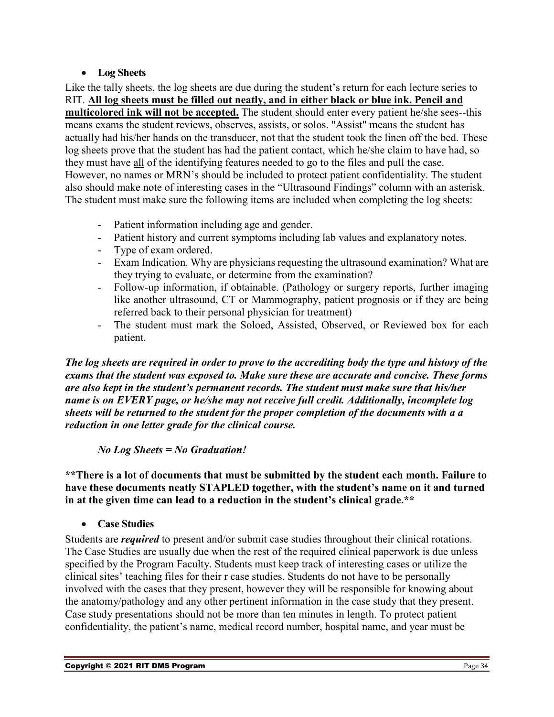### • **Log Sheets**

<span id="page-33-0"></span>Like the tally sheets, the log sheets are due during the student's return for each lecture series to RIT. **All log sheets must be filled out neatly, and in either black or blue ink. Pencil and multicolored ink will not be accepted.** The student should enter every patient he/she sees--this means exams the student reviews, observes, assists, or solos. "Assist" means the student has actually had his/her hands on the transducer, not that the student took the linen off the bed. These log sheets prove that the student has had the patient contact, which he/she claim to have had, so they must have all of the identifying features needed to go to the files and pull the case. However, no names or MRN's should be included to protect patient confidentiality. The student also should make note of interesting cases in the "Ultrasound Findings" column with an asterisk. The student must make sure the following items are included when completing the log sheets:

- Patient information including age and gender.
- Patient history and current symptoms including lab values and explanatory notes.
- Type of exam ordered.
- Exam Indication. Why are physicians requesting the ultrasound examination? What are they trying to evaluate, or determine from the examination?
- Follow-up information, if obtainable. (Pathology or surgery reports, further imaging like another ultrasound, CT or Mammography, patient prognosis or if they are being referred back to their personal physician for treatment)
- The student must mark the Soloed, Assisted, Observed, or Reviewed box for each patient.

*The log sheets are required in order to prove to the accrediting body the type and history of the exams that the student was exposed to. Make sure these are accurate and concise. These forms are also kept in the student's permanent records. The student must make sure that his/her name is on EVERY page, or he/she may not receive full credit. Additionally, incomplete log sheets will be returned to the student for the proper completion of the documents with a a reduction in one letter grade for the clinical course.*

#### *No Log Sheets = No Graduation!*

**\*\*There is a lot of documents that must be submitted by the student each month. Failure to have these documents neatly STAPLED together, with the student's name on it and turned in at the given time can lead to a reduction in the student's clinical grade.\*\***

<span id="page-33-1"></span>• **Case Studies**

Students are *required* to present and/or submit case studies throughout their clinical rotations. The Case Studies are usually due when the rest of the required clinical paperwork is due unless specified by the Program Faculty. Students must keep track of interesting cases or utilize the clinical sites' teaching files for their r case studies. Students do not have to be personally involved with the cases that they present, however they will be responsible for knowing about the anatomy/pathology and any other pertinent information in the case study that they present. Case study presentations should not be more than ten minutes in length. To protect patient confidentiality, the patient's name, medical record number, hospital name, and year must be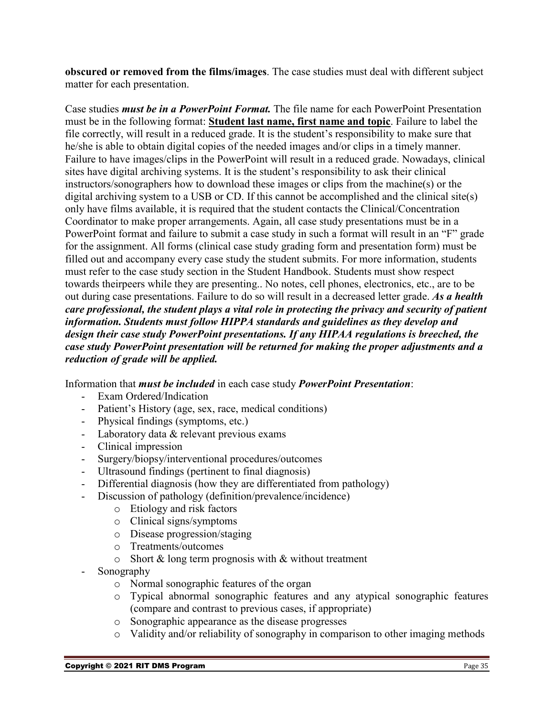**obscured or removed from the films/images**. The case studies must deal with different subject matter for each presentation.

Case studies *must be in a PowerPoint Format.* The file name for each PowerPoint Presentation must be in the following format: **Student last name, first name and topic**. Failure to label the file correctly, will result in a reduced grade. It is the student's responsibility to make sure that he/she is able to obtain digital copies of the needed images and/or clips in a timely manner. Failure to have images/clips in the PowerPoint will result in a reduced grade. Nowadays, clinical sites have digital archiving systems. It is the student's responsibility to ask their clinical instructors/sonographers how to download these images or clips from the machine(s) or the digital archiving system to a USB or CD. If this cannot be accomplished and the clinical site(s) only have films available, it is required that the student contacts the Clinical/Concentration Coordinator to make proper arrangements. Again, all case study presentations must be in a PowerPoint format and failure to submit a case study in such a format will result in an "F" grade for the assignment. All forms (clinical case study grading form and presentation form) must be filled out and accompany every case study the student submits. For more information, students must refer to the case study section in the Student Handbook. Students must show respect towards theirpeers while they are presenting.. No notes, cell phones, electronics, etc., are to be out during case presentations. Failure to do so will result in a decreased letter grade. *As a health care professional, the student plays a vital role in protecting the privacy and security of patient information. Students must follow HIPPA standards and guidelines as they develop and design their case study PowerPoint presentations. If any HIPAA regulations is breeched, the case study PowerPoint presentation will be returned for making the proper adjustments and a reduction of grade will be applied.* 

Information that *must be included* in each case study *PowerPoint Presentation*:

- Exam Ordered/Indication
- Patient's History (age, sex, race, medical conditions)
- Physical findings (symptoms, etc.)
- Laboratory data & relevant previous exams
- Clinical impression
- Surgery/biopsy/interventional procedures/outcomes
- Ultrasound findings (pertinent to final diagnosis)
- Differential diagnosis (how they are differentiated from pathology)
- Discussion of pathology (definition/prevalence/incidence)
	- o Etiology and risk factors
	- o Clinical signs/symptoms
	- o Disease progression/staging
	- o Treatments/outcomes
	- $\circ$  Short & long term prognosis with & without treatment
- Sonography
	- o Normal sonographic features of the organ
	- o Typical abnormal sonographic features and any atypical sonographic features (compare and contrast to previous cases, if appropriate)
	- o Sonographic appearance as the disease progresses
	- o Validity and/or reliability of sonography in comparison to other imaging methods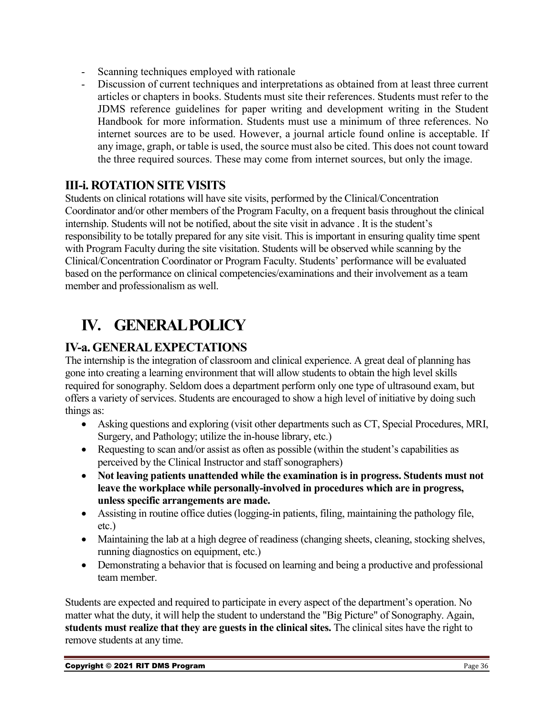- Scanning techniques employed with rationale
- Discussion of current techniques and interpretations as obtained from at least three current articles or chapters in books. Students must site their references. Students must refer to the JDMS reference guidelines for paper writing and development writing in the Student Handbook for more information. Students must use a minimum of three references. No internet sources are to be used. However, a journal article found online is acceptable. If any image, graph, or table is used, the source must also be cited. This does not count toward the three required sources. These may come from internet sources, but only the image.

### <span id="page-35-0"></span>**III-i. ROTATION SITE VISITS**

Students on clinical rotations will have site visits, performed by the Clinical/Concentration Coordinator and/or other members of the Program Faculty, on a frequent basis throughout the clinical internship. Students will not be notified, about the site visit in advance . It is the student's responsibility to be totally prepared for any site visit. This is important in ensuring quality time spent with Program Faculty during the site visitation. Students will be observed while scanning by the Clinical/Concentration Coordinator or Program Faculty. Students' performance will be evaluated based on the performance on clinical competencies/examinations and their involvement as a team member and professionalism as well.

### <span id="page-35-1"></span>**IV. GENERAL POLICY**

### <span id="page-35-2"></span>**IV-a. GENERAL EXPECTATIONS**

The internship is the integration of classroom and clinical experience. A great deal of planning has gone into creating a learning environment that will allow students to obtain the high level skills required for sonography. Seldom does a department perform only one type of ultrasound exam, but offers a variety of services. Students are encouraged to show a high level of initiative by doing such things as:

- Asking questions and exploring (visit other departments such as CT, Special Procedures, MRI, Surgery, and Pathology; utilize the in-house library, etc.)
- Requesting to scan and/or assist as often as possible (within the student's capabilities as perceived by the Clinical Instructor and staff sonographers)
- **Not leaving patients unattended while the examination is in progress. Students must not leave the workplace while personally-involved in procedures which are in progress, unless specific arrangements are made.**
- Assisting in routine office duties (logging-in patients, filing, maintaining the pathology file, etc.)
- Maintaining the lab at a high degree of readiness (changing sheets, cleaning, stocking shelves, running diagnostics on equipment, etc.)
- Demonstrating a behavior that is focused on learning and being a productive and professional team member.

Students are expected and required to participate in every aspect of the department's operation. No matter what the duty, it will help the student to understand the "Big Picture" of Sonography. Again, **students must realize that they are guests in the clinical sites.** The clinical sites have the right to remove students at any time.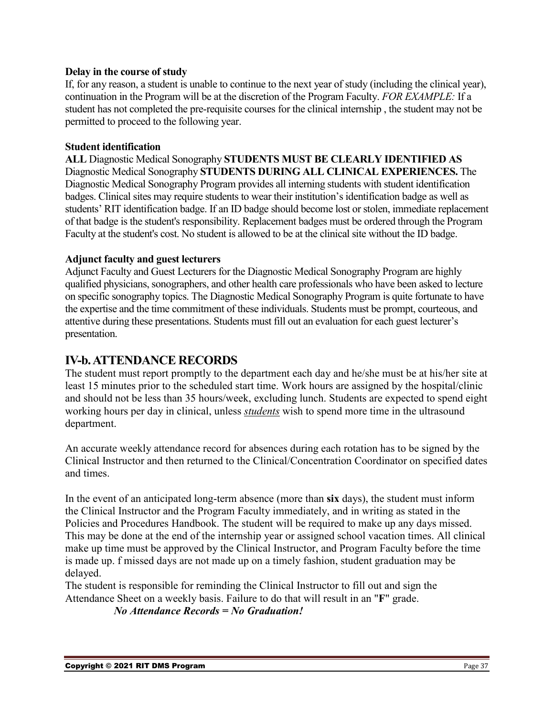#### **Delay in the course of study**

If, for any reason, a student is unable to continue to the next year of study (including the clinical year), continuation in the Program will be at the discretion of the Program Faculty. *FOR EXAMPLE:* If a student has not completed the pre-requisite courses for the clinical internship , the student may not be permitted to proceed to the following year.

#### **Student identification**

**ALL** Diagnostic Medical Sonography **STUDENTS MUST BE CLEARLY IDENTIFIED AS**  Diagnostic Medical Sonography **STUDENTS DURING ALL CLINICAL EXPERIENCES.** The Diagnostic Medical Sonography Program provides all interning students with student identification badges. Clinical sites may require students to wear their institution's identification badge as well as students' RIT identification badge. If an ID badge should become lost or stolen, immediate replacement of that badge is the student's responsibility. Replacement badges must be ordered through the Program Faculty at the student's cost. No student is allowed to be at the clinical site without the ID badge.

#### **Adjunct faculty and guest lecturers**

Adjunct Faculty and Guest Lecturers for the Diagnostic Medical Sonography Program are highly qualified physicians, sonographers, and other health care professionals who have been asked to lecture on specific sonography topics. The Diagnostic Medical Sonography Program is quite fortunate to have the expertise and the time commitment of these individuals. Students must be prompt, courteous, and attentive during these presentations. Students must fill out an evaluation for each guest lecturer's presentation.

### <span id="page-36-0"></span>**IV-b. ATTENDANCE RECORDS**

The student must report promptly to the department each day and he/she must be at his/her site at least 15 minutes prior to the scheduled start time. Work hours are assigned by the hospital/clinic and should not be less than 35 hours/week, excluding lunch. Students are expected to spend eight working hours per day in clinical, unless *students* wish to spend more time in the ultrasound department.

An accurate weekly attendance record for absences during each rotation has to be signed by the Clinical Instructor and then returned to the Clinical/Concentration Coordinator on specified dates and times.

In the event of an anticipated long-term absence (more than **six** days), the student must inform the Clinical Instructor and the Program Faculty immediately, and in writing as stated in the Policies and Procedures Handbook. The student will be required to make up any days missed. This may be done at the end of the internship year or assigned school vacation times. All clinical make up time must be approved by the Clinical Instructor, and Program Faculty before the time is made up. f missed days are not made up on a timely fashion, student graduation may be delayed.

The student is responsible for reminding the Clinical Instructor to fill out and sign the Attendance Sheet on a weekly basis. Failure to do that will result in an "**F**" grade.

*No Attendance Records = No Graduation!*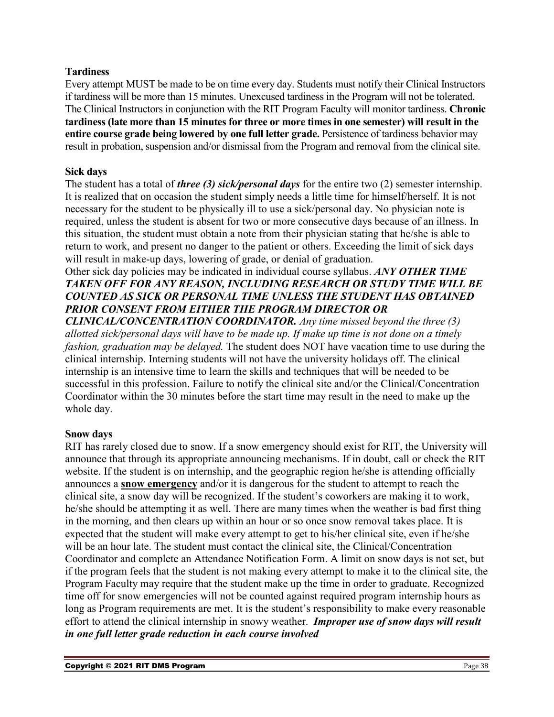#### **Tardiness**

Every attempt MUST be made to be on time every day. Students must notify their Clinical Instructors if tardiness will be more than 15 minutes. Unexcused tardiness in the Program will not be tolerated. The Clinical Instructors in conjunction with the RIT Program Faculty will monitor tardiness. **Chronic tardiness (late more than 15 minutes for three or more times in one semester) will result in the entire course grade being lowered by one full letter grade.** Persistence of tardiness behavior may result in probation, suspension and/or dismissal from the Program and removal from the clinical site.

#### **Sick days**

The student has a total of *three (3) sick/personal days* for the entire two (2) semester internship. It is realized that on occasion the student simply needs a little time for himself/herself. It is not necessary for the student to be physically ill to use a sick/personal day. No physician note is required, unless the student is absent for two or more consecutive days because of an illness. In this situation, the student must obtain a note from their physician stating that he/she is able to return to work, and present no danger to the patient or others. Exceeding the limit of sick days will result in make-up days, lowering of grade, or denial of graduation.

### Other sick day policies may be indicated in individual course syllabus. *ANY OTHER TIME TAKEN OFF FOR ANY REASON, INCLUDING RESEARCH OR STUDY TIME WILL BE COUNTED AS SICK OR PERSONAL TIME UNLESS THE STUDENT HAS OBTAINED PRIOR CONSENT FROM EITHER THE PROGRAM DIRECTOR OR*

*CLINICAL/CONCENTRATION COORDINATOR. Any time missed beyond the three (3) allotted sick/personal days will have to be made up. If make up time is not done on a timely fashion, graduation may be delayed.* The student does NOT have vacation time to use during the clinical internship. Interning students will not have the university holidays off. The clinical internship is an intensive time to learn the skills and techniques that will be needed to be successful in this profession. Failure to notify the clinical site and/or the Clinical/Concentration Coordinator within the 30 minutes before the start time may result in the need to make up the whole day.

#### **Snow days**

RIT has rarely closed due to snow. If a snow emergency should exist for RIT, the University will announce that through its appropriate announcing mechanisms. If in doubt, call or check the RIT website. If the student is on internship, and the geographic region he/she is attending officially announces a **snow emergency** and/or it is dangerous for the student to attempt to reach the clinical site, a snow day will be recognized. If the student's coworkers are making it to work, he/she should be attempting it as well. There are many times when the weather is bad first thing in the morning, and then clears up within an hour or so once snow removal takes place. It is expected that the student will make every attempt to get to his/her clinical site, even if he/she will be an hour late. The student must contact the clinical site, the Clinical/Concentration Coordinator and complete an Attendance Notification Form. A limit on snow days is not set, but if the program feels that the student is not making every attempt to make it to the clinical site, the Program Faculty may require that the student make up the time in order to graduate. Recognized time off for snow emergencies will not be counted against required program internship hours as long as Program requirements are met. It is the student's responsibility to make every reasonable effort to attend the clinical internship in snowy weather. *Improper use of snow days will result in one full letter grade reduction in each course involved*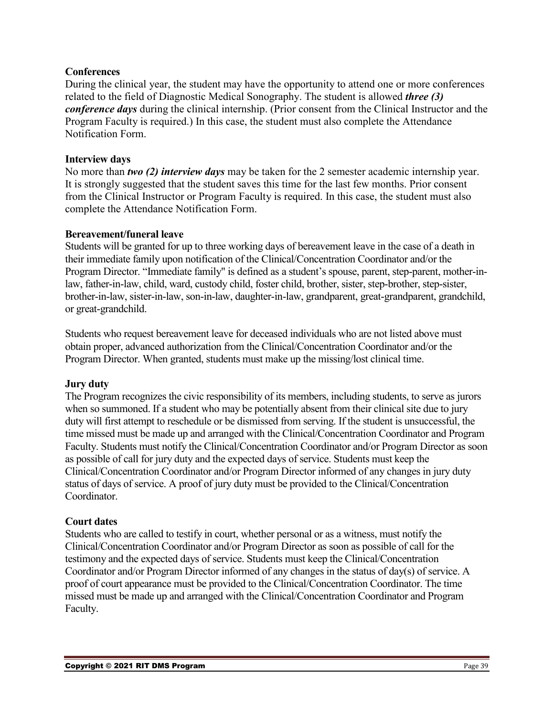#### **Conferences**

During the clinical year, the student may have the opportunity to attend one or more conferences related to the field of Diagnostic Medical Sonography. The student is allowed *three (3) conference days* during the clinical internship. (Prior consent from the Clinical Instructor and the Program Faculty is required.) In this case, the student must also complete the Attendance Notification Form.

#### **Interview days**

No more than *two (2) interview days* may be taken for the 2 semester academic internship year. It is strongly suggested that the student saves this time for the last few months. Prior consent from the Clinical Instructor or Program Faculty is required. In this case, the student must also complete the Attendance Notification Form.

#### **Bereavement/funeral leave**

Students will be granted for up to three working days of bereavement leave in the case of a death in their immediate family upon notification of the Clinical/Concentration Coordinator and/or the Program Director. "Immediate family" is defined as a student's spouse, parent, step-parent, mother-inlaw, father-in-law, child, ward, custody child, foster child, brother, sister, step-brother, step-sister, brother-in-law, sister-in-law, son-in-law, daughter-in-law, grandparent, great-grandparent, grandchild, or great-grandchild.

Students who request bereavement leave for deceased individuals who are not listed above must obtain proper, advanced authorization from the Clinical/Concentration Coordinator and/or the Program Director. When granted, students must make up the missing/lost clinical time.

#### **Jury duty**

The Program recognizes the civic responsibility of its members, including students, to serve as jurors when so summoned. If a student who may be potentially absent from their clinical site due to jury duty will first attempt to reschedule or be dismissed from serving. If the student is unsuccessful, the time missed must be made up and arranged with the Clinical/Concentration Coordinator and Program Faculty. Students must notify the Clinical/Concentration Coordinator and/or Program Director as soon as possible of call for jury duty and the expected days of service. Students must keep the Clinical/Concentration Coordinator and/or Program Director informed of any changes in jury duty status of days of service. A proof of jury duty must be provided to the Clinical/Concentration Coordinator.

#### **Court dates**

Students who are called to testify in court, whether personal or as a witness, must notify the Clinical/Concentration Coordinator and/or Program Director as soon as possible of call for the testimony and the expected days of service. Students must keep the Clinical/Concentration Coordinator and/or Program Director informed of any changes in the status of day(s) of service. A proof of court appearance must be provided to the Clinical/Concentration Coordinator. The time missed must be made up and arranged with the Clinical/Concentration Coordinator and Program Faculty.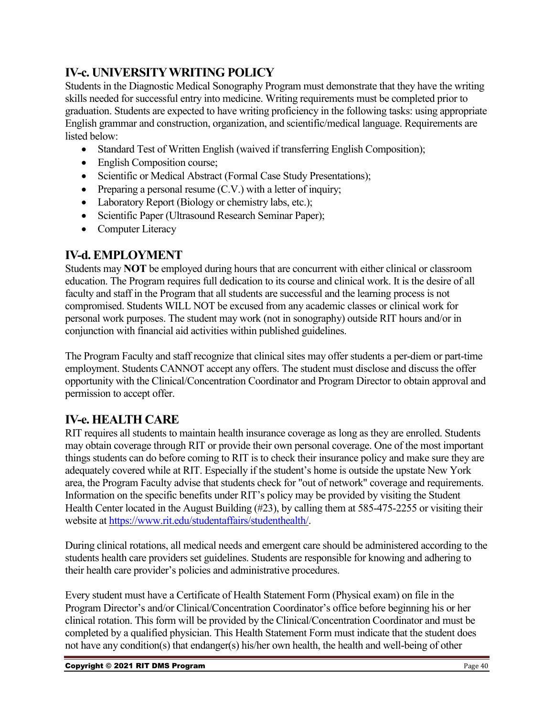### <span id="page-39-0"></span>**IV-c. UNIVERSITY WRITING POLICY**

Students in the Diagnostic Medical Sonography Program must demonstrate that they have the writing skills needed for successful entry into medicine. Writing requirements must be completed prior to graduation. Students are expected to have writing proficiency in the following tasks: using appropriate English grammar and construction, organization, and scientific/medical language. Requirements are listed below:

- Standard Test of Written English (waived if transferring English Composition);
- English Composition course;
- Scientific or Medical Abstract (Formal Case Study Presentations);
- Preparing a personal resume (C.V.) with a letter of inquiry;
- Laboratory Report (Biology or chemistry labs, etc.);
- Scientific Paper (Ultrasound Research Seminar Paper);
- Computer Literacy

### <span id="page-39-1"></span>**IV-d. EMPLOYMENT**

Students may **NOT** be employed during hours that are concurrent with either clinical or classroom education. The Program requires full dedication to its course and clinical work. It is the desire of all faculty and staff in the Program that all students are successful and the learning process is not compromised. Students WILL NOT be excused from any academic classes or clinical work for personal work purposes. The student may work (not in sonography) outside RIT hours and/or in conjunction with financial aid activities within published guidelines.

The Program Faculty and staff recognize that clinical sites may offer students a per-diem or part-time employment. Students CANNOT accept any offers. The student must disclose and discuss the offer opportunity with the Clinical/Concentration Coordinator and Program Director to obtain approval and permission to accept offer.

### <span id="page-39-2"></span>**IV-e. HEALTH CARE**

RIT requires all students to maintain health insurance coverage as long as they are enrolled. Students may obtain coverage through RIT or provide their own personal coverage. One of the most important things students can do before coming to RIT is to check their insurance policy and make sure they are adequately covered while at RIT. Especially if the student's home is outside the upstate New York area, the Program Faculty advise that students check for "out of network" coverage and requirements. Information on the specific benefits under RIT's policy may be provided by visiting the Student Health Center located in the August Building (#23), by calling them at 585-475-2255 or visiting their website a[t https://www.rit.edu/studentaffairs/studenthealth/.](https://www.rit.edu/studentaffairs/studenthealth/)

During clinical rotations, all medical needs and emergent care should be administered according to the students health care providers set guidelines. Students are responsible for knowing and adhering to their health care provider's policies and administrative procedures.

Every student must have a Certificate of Health Statement Form (Physical exam) on file in the Program Director's and/or Clinical/Concentration Coordinator's office before beginning his or her clinical rotation. This form will be provided by the Clinical/Concentration Coordinator and must be completed by a qualified physician. This Health Statement Form must indicate that the student does not have any condition(s) that endanger(s) his/her own health, the health and well-being of other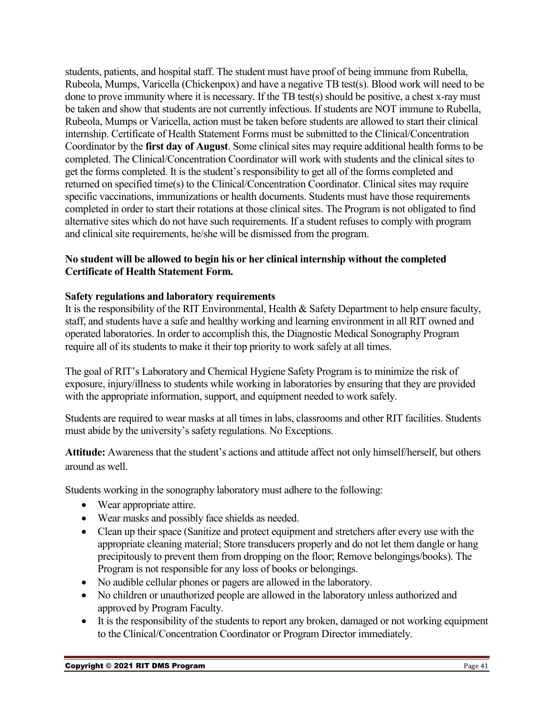students, patients, and hospital staff. The student must have proof of being immune from Rubella, Rubeola, Mumps, Varicella (Chickenpox) and have a negative TB test(s). Blood work will need to be done to prove immunity where it is necessary. If the TB test(s) should be positive, a chest x-ray must be taken and show that students are not currently infectious. If students are NOT immune to Rubella, Rubeola, Mumps or Varicella, action must be taken before students are allowed to start their clinical internship. Certificate of Health Statement Forms must be submitted to the Clinical/Concentration Coordinator by the **first day of August**. Some clinical sites may require additional health forms to be completed. The Clinical/Concentration Coordinator will work with students and the clinical sites to get the forms completed. It is the student's responsibility to get all of the forms completed and returned on specified time(s) to the Clinical/Concentration Coordinator. Clinical sites may require specific vaccinations, immunizations or health documents. Students must have those requirements completed in order to start their rotations at those clinical sites. The Program is not obligated to find alternative sites which do not have such requirements. If a student refuses to comply with program and clinical site requirements, he/she will be dismissed from the program.

#### **No student will be allowed to begin his or her clinical internship without the completed Certificate of Health Statement Form.**

### **Safety regulations and laboratory requirements**

It is the responsibility of the RIT Environmental, Health & Safety Department to help ensure faculty, staff, and students have a safe and healthy working and learning environment in all RIT owned and operated laboratories. In order to accomplish this, the Diagnostic Medical Sonography Program require all of its students to make it their top priority to work safely at all times.

The goal of RIT's Laboratory and Chemical Hygiene Safety Program is to minimize the risk of exposure, injury/illness to students while working in laboratories by ensuring that they are provided with the appropriate information, support, and equipment needed to work safely.

Students are required to wear masks at all times in labs, classrooms and other RIT facilities. Students must abide by the university's safety regulations. No Exceptions.

**Attitude:** Awareness that the student's actions and attitude affect not only himself/herself, but others around as well.

Students working in the sonography laboratory must adhere to the following:

- Wear appropriate attire.
- Wear masks and possibly face shields as needed.
- Clean up their space (Sanitize and protect equipment and stretchers after every use with the appropriate cleaning material; Store transducers properly and do not let them dangle or hang precipitously to prevent them from dropping on the floor; Remove belongings/books). The Program is not responsible for any loss of books or belongings.
- No audible cellular phones or pagers are allowed in the laboratory.
- No children or unauthorized people are allowed in the laboratory unless authorized and approved by Program Faculty.
- It is the responsibility of the students to report any broken, damaged or not working equipment to the Clinical/Concentration Coordinator or Program Director immediately.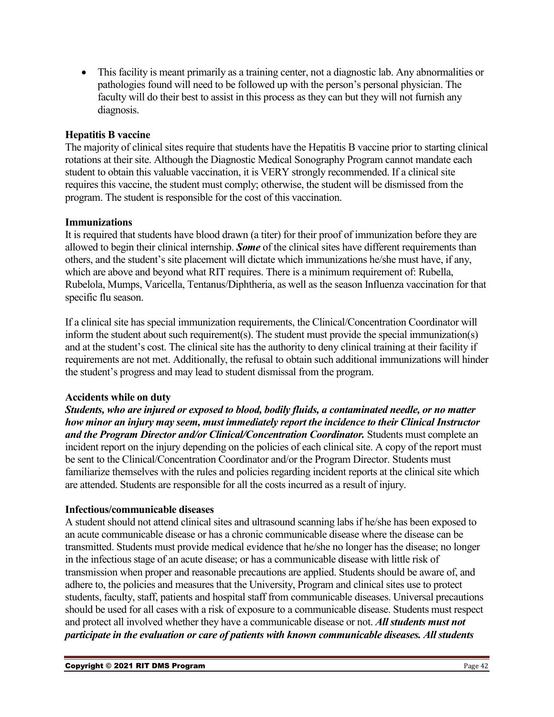• This facility is meant primarily as a training center, not a diagnostic lab. Any abnormalities or pathologies found will need to be followed up with the person's personal physician. The faculty will do their best to assist in this process as they can but they will not furnish any diagnosis.

#### **Hepatitis B vaccine**

The majority of clinical sites require that students have the Hepatitis B vaccine prior to starting clinical rotations at their site. Although the Diagnostic Medical Sonography Program cannot mandate each student to obtain this valuable vaccination, it is VERY strongly recommended. If a clinical site requires this vaccine, the student must comply; otherwise, the student will be dismissed from the program. The student is responsible for the cost of this vaccination.

#### **Immunizations**

It is required that students have blood drawn (a titer) for their proof of immunization before they are allowed to begin their clinical internship. *Some* of the clinical sites have different requirements than others, and the student's site placement will dictate which immunizations he/she must have, if any, which are above and beyond what RIT requires. There is a minimum requirement of: Rubella, Rubelola, Mumps, Varicella, Tentanus/Diphtheria, as well as the season Influenza vaccination for that specific flu season.

If a clinical site has special immunization requirements, the Clinical/Concentration Coordinator will inform the student about such requirement(s). The student must provide the special immunization(s) and at the student's cost. The clinical site has the authority to deny clinical training at their facility if requirements are not met. Additionally, the refusal to obtain such additional immunizations will hinder the student's progress and may lead to student dismissal from the program.

#### **Accidents while on duty**

*Students, who are injured or exposed to blood, bodily fluids, a contaminated needle, or no matter how minor an injury may seem, must immediately report the incidence to their Clinical Instructor and the Program Director and/or Clinical/Concentration Coordinator.* Students must complete an incident report on the injury depending on the policies of each clinical site. A copy of the report must be sent to the Clinical/Concentration Coordinator and/or the Program Director. Students must familiarize themselves with the rules and policies regarding incident reports at the clinical site which are attended. Students are responsible for all the costs incurred as a result of injury.

#### **Infectious/communicable diseases**

A student should not attend clinical sites and ultrasound scanning labs if he/she has been exposed to an acute communicable disease or has a chronic communicable disease where the disease can be transmitted. Students must provide medical evidence that he/she no longer has the disease; no longer in the infectious stage of an acute disease; or has a communicable disease with little risk of transmission when proper and reasonable precautions are applied. Students should be aware of, and adhere to, the policies and measures that the University, Program and clinical sites use to protect students, faculty, staff, patients and hospital staff from communicable diseases. Universal precautions should be used for all cases with a risk of exposure to a communicable disease. Students must respect and protect all involved whether they have a communicable disease or not. *All students must not participate in the evaluation or care of patients with known communicable diseases. All students*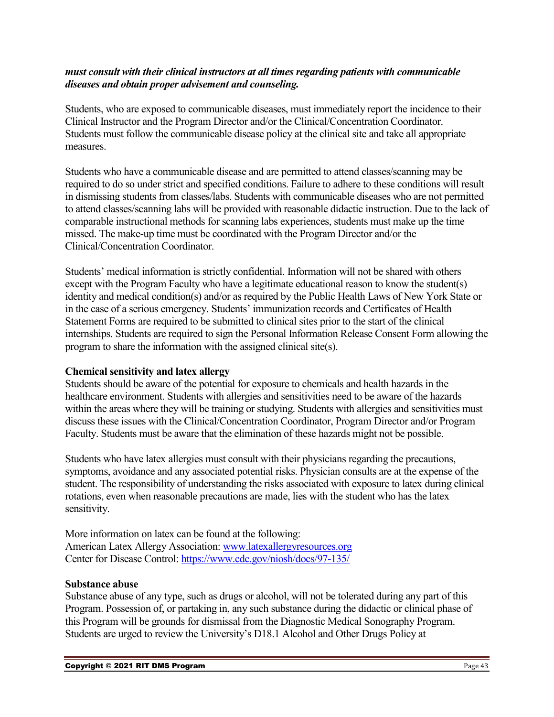#### *must consult with their clinical instructors at all times regarding patients with communicable diseases and obtain proper advisement and counseling.*

Students, who are exposed to communicable diseases, must immediately report the incidence to their Clinical Instructor and the Program Director and/or the Clinical/Concentration Coordinator. Students must follow the communicable disease policy at the clinical site and take all appropriate measures.

Students who have a communicable disease and are permitted to attend classes/scanning may be required to do so under strict and specified conditions. Failure to adhere to these conditions will result in dismissing students from classes/labs. Students with communicable diseases who are not permitted to attend classes/scanning labs will be provided with reasonable didactic instruction. Due to the lack of comparable instructional methods for scanning labs experiences, students must make up the time missed. The make-up time must be coordinated with the Program Director and/or the Clinical/Concentration Coordinator.

Students' medical information is strictly confidential. Information will not be shared with others except with the Program Faculty who have a legitimate educational reason to know the student(s) identity and medical condition(s) and/or as required by the Public Health Laws of New York State or in the case of a serious emergency. Students' immunization records and Certificates of Health Statement Forms are required to be submitted to clinical sites prior to the start of the clinical internships. Students are required to sign the Personal Information Release Consent Form allowing the program to share the information with the assigned clinical site(s).

#### **Chemical sensitivity and latex allergy**

Students should be aware of the potential for exposure to chemicals and health hazards in the healthcare environment. Students with allergies and sensitivities need to be aware of the hazards within the areas where they will be training or studying. Students with allergies and sensitivities must discuss these issues with the Clinical/Concentration Coordinator, Program Director and/or Program Faculty. Students must be aware that the elimination of these hazards might not be possible.

Students who have latex allergies must consult with their physicians regarding the precautions, symptoms, avoidance and any associated potential risks. Physician consults are at the expense of the student. The responsibility of understanding the risks associated with exposure to latex during clinical rotations, even when reasonable precautions are made, lies with the student who has the latex sensitivity.

More information on latex can be found at the following: American Latex Allergy Association: [www.latexallergyresources.org](http://www.latexallergyresources.org/) Center for Disease Control:<https://www.cdc.gov/niosh/docs/97-135/>

#### **Substance abuse**

Substance abuse of any type, such as drugs or alcohol, will not be tolerated during any part of this Program. Possession of, or partaking in, any such substance during the didactic or clinical phase of this Program will be grounds for dismissal from the Diagnostic Medical Sonography Program. Students are urged to review the University's D18.1 Alcohol and Other Drugs Policy at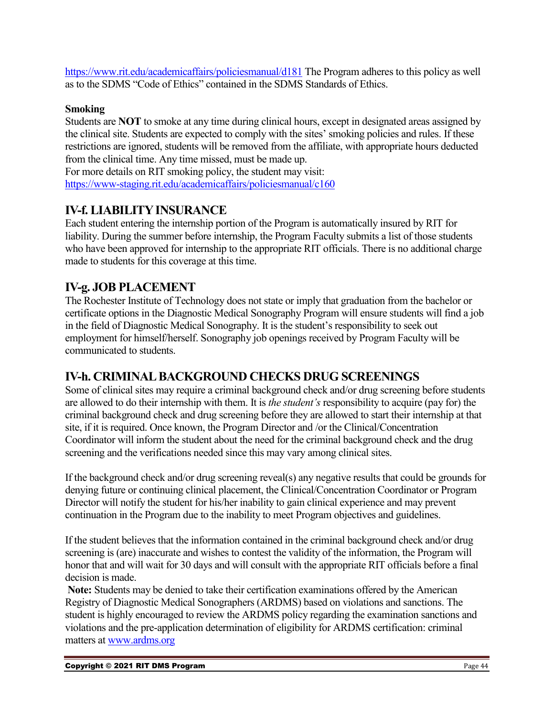<https://www.rit.edu/academicaffairs/policiesmanual/d181> The Program adheres to this policy as well as to the SDMS "Code of Ethics" contained in the SDMS Standards of Ethics.

#### **Smoking**

Students are **NOT** to smoke at any time during clinical hours, except in designated areas assigned by the clinical site. Students are expected to comply with the sites' smoking policies and rules. If these restrictions are ignored, students will be removed from the affiliate, with appropriate hours deducted from the clinical time. Any time missed, must be made up.

For more details on RIT smoking policy, the student may visit: <https://www-staging.rit.edu/academicaffairs/policiesmanual/c160>

### <span id="page-43-0"></span>**IV-f. LIABILITY INSURANCE**

Each student entering the internship portion of the Program is automatically insured by RIT for liability. During the summer before internship, the Program Faculty submits a list of those students who have been approved for internship to the appropriate RIT officials. There is no additional charge made to students for this coverage at this time.

### <span id="page-43-1"></span>**IV-g. JOB PLACEMENT**

The Rochester Institute of Technology does not state or imply that graduation from the bachelor or certificate options in the Diagnostic Medical Sonography Program will ensure students will find a job in the field of Diagnostic Medical Sonography. It is the student's responsibility to seek out employment for himself/herself. Sonography job openings received by Program Faculty will be communicated to students.

### <span id="page-43-2"></span>**IV-h. CRIMINAL BACKGROUND CHECKS DRUG SCREENINGS**

Some of clinical sites may require a criminal background check and/or drug screening before students are allowed to do their internship with them. It is *the student's* responsibility to acquire (pay for) the criminal background check and drug screening before they are allowed to start their internship at that site, if it is required. Once known, the Program Director and /or the Clinical/Concentration Coordinator will inform the student about the need for the criminal background check and the drug screening and the verifications needed since this may vary among clinical sites.

If the background check and/or drug screening reveal(s) any negative results that could be grounds for denying future or continuing clinical placement, the Clinical/Concentration Coordinator or Program Director will notify the student for his/her inability to gain clinical experience and may prevent continuation in the Program due to the inability to meet Program objectives and guidelines.

If the student believes that the information contained in the criminal background check and/or drug screening is (are) inaccurate and wishes to contest the validity of the information, the Program will honor that and will wait for 30 days and will consult with the appropriate RIT officials before a final decision is made.

**Note:** Students may be denied to take their certification examinations offered by the American Registry of Diagnostic Medical Sonographers (ARDMS) based on violations and sanctions. The student is highly encouraged to review the ARDMS policy regarding the examination sanctions and violations and the pre-application determination of eligibility for ARDMS certification: criminal matters at [www.ardms.org](http://www.ardms.org/)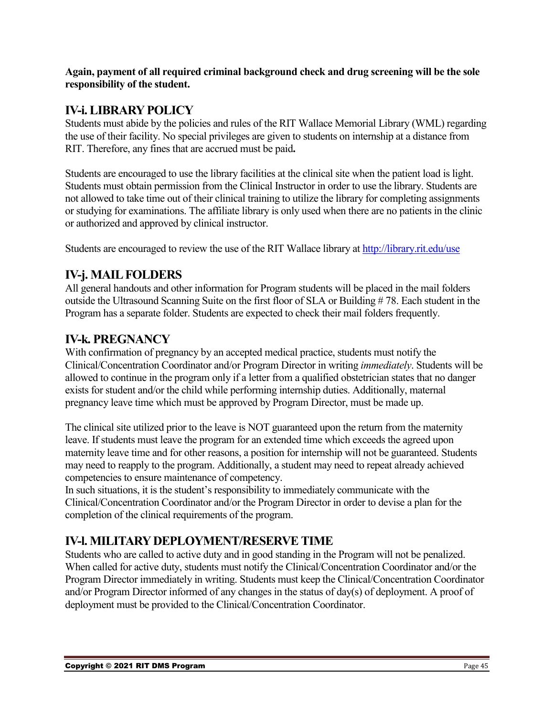**Again, payment of all required criminal background check and drug screening will be the sole responsibility of the student.** 

### <span id="page-44-0"></span>**IV-i. LIBRARY POLICY**

Students must abide by the policies and rules of the RIT Wallace Memorial Library (WML) regarding the use of their facility. No special privileges are given to students on internship at a distance from RIT. Therefore, any fines that are accrued must be paid**.**

Students are encouraged to use the library facilities at the clinical site when the patient load is light. Students must obtain permission from the Clinical Instructor in order to use the library. Students are not allowed to take time out of their clinical training to utilize the library for completing assignments or studying for examinations. The affiliate library is only used when there are no patients in the clinic or authorized and approved by clinical instructor.

Students are encouraged to review the use of the RIT Wallace library at<http://library.rit.edu/use>

### <span id="page-44-1"></span>**IV-j. MAIL FOLDERS**

All general handouts and other information for Program students will be placed in the mail folders outside the Ultrasound Scanning Suite on the first floor of SLA or Building # 78. Each student in the Program has a separate folder. Students are expected to check their mail folders frequently.

### <span id="page-44-2"></span>**IV-k. PREGNANCY**

With confirmation of pregnancy by an accepted medical practice, students must notify the Clinical/Concentration Coordinator and/or Program Director in writing *immediately*. Students will be allowed to continue in the program only if a letter from a qualified obstetrician states that no danger exists for student and/or the child while performing internship duties. Additionally, maternal pregnancy leave time which must be approved by Program Director, must be made up.

The clinical site utilized prior to the leave is NOT guaranteed upon the return from the maternity leave. If students must leave the program for an extended time which exceeds the agreed upon maternity leave time and for other reasons, a position for internship will not be guaranteed. Students may need to reapply to the program. Additionally, a student may need to repeat already achieved competencies to ensure maintenance of competency.

In such situations, it is the student's responsibility to immediately communicate with the Clinical/Concentration Coordinator and/or the Program Director in order to devise a plan for the completion of the clinical requirements of the program.

### <span id="page-44-3"></span>**IV-l. MILITARY DEPLOYMENT/RESERVE TIME**

Students who are called to active duty and in good standing in the Program will not be penalized. When called for active duty, students must notify the Clinical/Concentration Coordinator and/or the Program Director immediately in writing. Students must keep the Clinical/Concentration Coordinator and/or Program Director informed of any changes in the status of day(s) of deployment. A proof of deployment must be provided to the Clinical/Concentration Coordinator.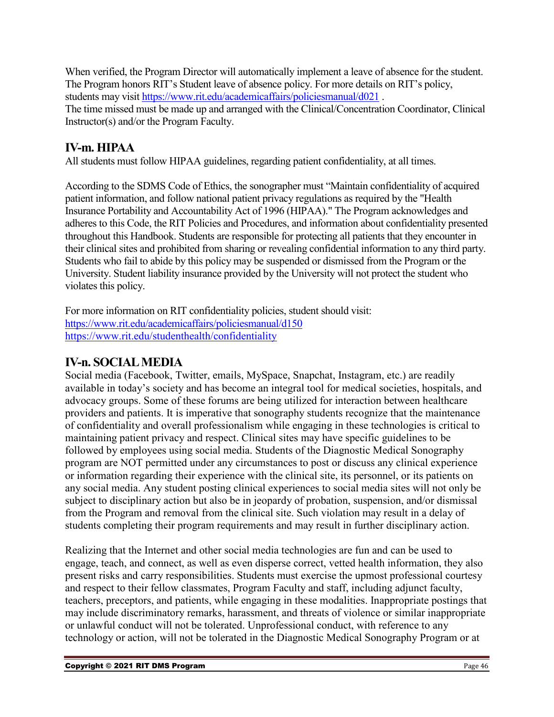When verified, the Program Director will automatically implement a leave of absence for the student. The Program honors RIT's Student leave of absence policy. For more details on RIT's policy, students may visit<https://www.rit.edu/academicaffairs/policiesmanual/d021> .

The time missed must be made up and arranged with the Clinical/Concentration Coordinator, Clinical Instructor(s) and/or the Program Faculty.

### <span id="page-45-0"></span>**IV-m. HIPAA**

All students must follow HIPAA guidelines, regarding patient confidentiality, at all times.

According to the SDMS Code of Ethics, the sonographer must "Maintain confidentiality of acquired patient information, and follow national patient privacy regulations as required by the "Health Insurance Portability and Accountability Act of 1996 (HIPAA)." The Program acknowledges and adheres to this Code, the RIT Policies and Procedures, and information about confidentiality presented throughout this Handbook. Students are responsible for protecting all patients that they encounter in their clinical sites and prohibited from sharing or revealing confidential information to any third party. Students who fail to abide by this policy may be suspended or dismissed from the Program or the University. Student liability insurance provided by the University will not protect the student who violates this policy.

For more information on RIT confidentiality policies, student should visit: <https://www.rit.edu/academicaffairs/policiesmanual/d150> <https://www.rit.edu/studenthealth/confidentiality>

### <span id="page-45-1"></span>**IV-n. SOCIALMEDIA**

Social media (Facebook, Twitter, emails, MySpace, Snapchat, Instagram, etc.) are readily available in today's society and has become an integral tool for medical societies, hospitals, and advocacy groups. Some of these forums are being utilized for interaction between healthcare providers and patients. It is imperative that sonography students recognize that the maintenance of confidentiality and overall professionalism while engaging in these technologies is critical to maintaining patient privacy and respect. Clinical sites may have specific guidelines to be followed by employees using social media. Students of the Diagnostic Medical Sonography program are NOT permitted under any circumstances to post or discuss any clinical experience or information regarding their experience with the clinical site, its personnel, or its patients on any social media. Any student posting clinical experiences to social media sites will not only be subject to disciplinary action but also be in jeopardy of probation, suspension, and/or dismissal from the Program and removal from the clinical site. Such violation may result in a delay of students completing their program requirements and may result in further disciplinary action.

Realizing that the Internet and other social media technologies are fun and can be used to engage, teach, and connect, as well as even disperse correct, vetted health information, they also present risks and carry responsibilities. Students must exercise the upmost professional courtesy and respect to their fellow classmates, Program Faculty and staff, including adjunct faculty, teachers, preceptors, and patients, while engaging in these modalities. Inappropriate postings that may include discriminatory remarks, harassment, and threats of violence or similar inappropriate or unlawful conduct will not be tolerated. Unprofessional conduct, with reference to any technology or action, will not be tolerated in the Diagnostic Medical Sonography Program or at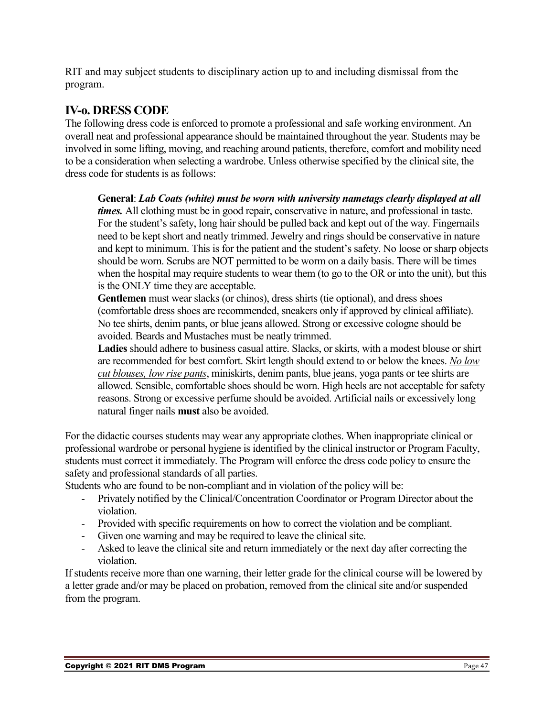RIT and may subject students to disciplinary action up to and including dismissal from the program.

### <span id="page-46-0"></span>**IV-o. DRESS CODE**

The following dress code is enforced to promote a professional and safe working environment. An overall neat and professional appearance should be maintained throughout the year. Students may be involved in some lifting, moving, and reaching around patients, therefore, comfort and mobility need to be a consideration when selecting a wardrobe. Unless otherwise specified by the clinical site, the dress code for students is as follows:

**General**: *Lab Coats (white) must be worn with university nametags clearly displayed at all times.* All clothing must be in good repair, conservative in nature, and professional in taste. For the student's safety, long hair should be pulled back and kept out of the way. Fingernails need to be kept short and neatly trimmed. Jewelry and rings should be conservative in nature and kept to minimum. This is for the patient and the student's safety. No loose or sharp objects should be worn. Scrubs are NOT permitted to be worm on a daily basis. There will be times when the hospital may require students to wear them (to go to the OR or into the unit), but this is the ONLY time they are acceptable.

**Gentlemen** must wear slacks (or chinos), dress shirts (tie optional), and dress shoes (comfortable dress shoes are recommended, sneakers only if approved by clinical affiliate). No tee shirts, denim pants, or blue jeans allowed. Strong or excessive cologne should be avoided. Beards and Mustaches must be neatly trimmed.

**Ladies** should adhere to business casual attire. Slacks, or skirts, with a modest blouse or shirt are recommended for best comfort. Skirt length should extend to or below the knees. *No low cut blouses, low rise pants*, miniskirts, denim pants, blue jeans, yoga pants or tee shirts are allowed. Sensible, comfortable shoes should be worn. High heels are not acceptable for safety reasons. Strong or excessive perfume should be avoided. Artificial nails or excessively long natural finger nails **must** also be avoided.

For the didactic courses students may wear any appropriate clothes. When inappropriate clinical or professional wardrobe or personal hygiene is identified by the clinical instructor or Program Faculty, students must correct it immediately. The Program will enforce the dress code policy to ensure the safety and professional standards of all parties.

Students who are found to be non-compliant and in violation of the policy will be:

- Privately notified by the Clinical/Concentration Coordinator or Program Director about the violation.
- Provided with specific requirements on how to correct the violation and be compliant.
- Given one warning and may be required to leave the clinical site.
- Asked to leave the clinical site and return immediately or the next day after correcting the violation.

If students receive more than one warning, their letter grade for the clinical course will be lowered by a letter grade and/or may be placed on probation, removed from the clinical site and/or suspended from the program.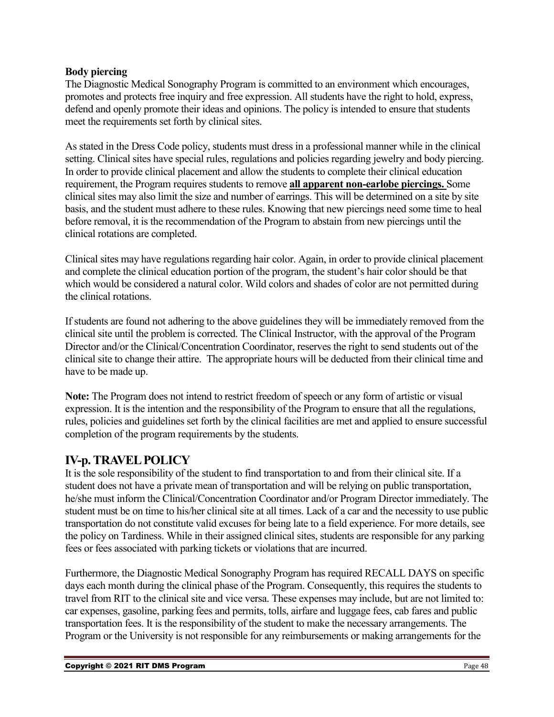#### **Body piercing**

The Diagnostic Medical Sonography Program is committed to an environment which encourages, promotes and protects free inquiry and free expression. All students have the right to hold, express, defend and openly promote their ideas and opinions. The policy is intended to ensure that students meet the requirements set forth by clinical sites.

As stated in the Dress Code policy, students must dress in a professional manner while in the clinical setting. Clinical sites have special rules, regulations and policies regarding jewelry and body piercing. In order to provide clinical placement and allow the students to complete their clinical education requirement, the Program requires students to remove **all apparent non-earlobe piercings.** Some clinical sites may also limit the size and number of earrings. This will be determined on a site by site basis, and the student must adhere to these rules. Knowing that new piercings need some time to heal before removal, it is the recommendation of the Program to abstain from new piercings until the clinical rotations are completed.

Clinical sites may have regulations regarding hair color. Again, in order to provide clinical placement and complete the clinical education portion of the program, the student's hair color should be that which would be considered a natural color. Wild colors and shades of color are not permitted during the clinical rotations.

If students are found not adhering to the above guidelines they will be immediately removed from the clinical site until the problem is corrected. The Clinical Instructor, with the approval of the Program Director and/or the Clinical/Concentration Coordinator, reserves the right to send students out of the clinical site to change their attire. The appropriate hours will be deducted from their clinical time and have to be made up.

**Note:** The Program does not intend to restrict freedom of speech or any form of artistic or visual expression. It is the intention and the responsibility of the Program to ensure that all the regulations, rules, policies and guidelines set forth by the clinical facilities are met and applied to ensure successful completion of the program requirements by the students.

### <span id="page-47-0"></span>**IV-p. TRAVEL POLICY**

It is the sole responsibility of the student to find transportation to and from their clinical site. If a student does not have a private mean of transportation and will be relying on public transportation, he/she must inform the Clinical/Concentration Coordinator and/or Program Director immediately. The student must be on time to his/her clinical site at all times. Lack of a car and the necessity to use public transportation do not constitute valid excuses for being late to a field experience. For more details, see the policy on Tardiness. While in their assigned clinical sites, students are responsible for any parking fees or fees associated with parking tickets or violations that are incurred.

Furthermore, the Diagnostic Medical Sonography Program has required RECALL DAYS on specific days each month during the clinical phase of the Program. Consequently, this requires the students to travel from RIT to the clinical site and vice versa. These expenses may include, but are not limited to: car expenses, gasoline, parking fees and permits, tolls, airfare and luggage fees, cab fares and public transportation fees. It is the responsibility of the student to make the necessary arrangements. The Program or the University is not responsible for any reimbursements or making arrangements for the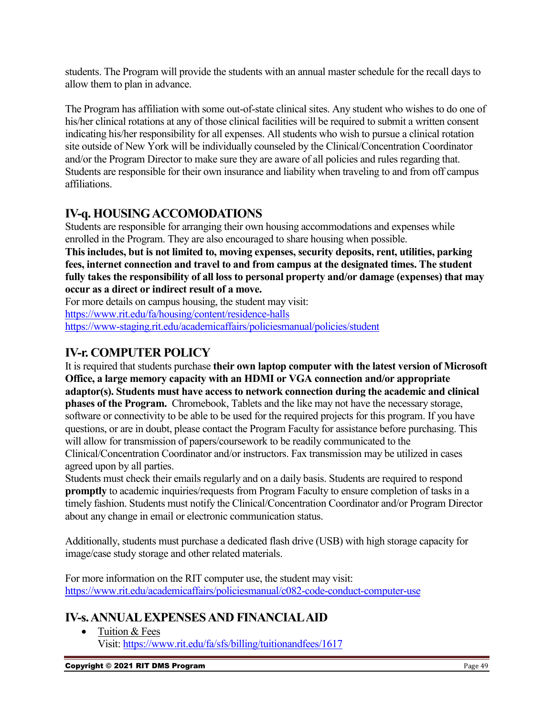students. The Program will provide the students with an annual master schedule for the recall days to allow them to plan in advance.

The Program has affiliation with some out-of-state clinical sites. Any student who wishes to do one of his/her clinical rotations at any of those clinical facilities will be required to submit a written consent indicating his/her responsibility for all expenses. All students who wish to pursue a clinical rotation site outside of New York will be individually counseled by the Clinical/Concentration Coordinator and/or the Program Director to make sure they are aware of all policies and rules regarding that. Students are responsible for their own insurance and liability when traveling to and from off campus affiliations.

### <span id="page-48-0"></span>**IV-q. HOUSING ACCOMODATIONS**

Students are responsible for arranging their own housing accommodations and expenses while enrolled in the Program. They are also encouraged to share housing when possible.

**This includes, but is not limited to, moving expenses, security deposits, rent, utilities, parking fees, internet connection and travel to and from campus at the designated times. The student fully takes the responsibility of all loss to personal property and/or damage (expenses) that may occur as a direct or indirect result of a move.** 

For more details on campus housing, the student may visit:

<https://www.rit.edu/fa/housing/content/residence-halls>

<https://www-staging.rit.edu/academicaffairs/policiesmanual/policies/student>

### <span id="page-48-1"></span>**IV-r. COMPUTER POLICY**

It is required that students purchase **their own laptop computer with the latest version of Microsoft Office, a large memory capacity with an HDMI or VGA connection and/or appropriate adaptor(s). Students must have access to network connection during the academic and clinical phases of the Program.** Chromebook, Tablets and the like may not have the necessary storage, software or connectivity to be able to be used for the required projects for this program. If you have questions, or are in doubt, please contact the Program Faculty for assistance before purchasing. This will allow for transmission of papers/coursework to be readily communicated to the Clinical/Concentration Coordinator and/or instructors. Fax transmission may be utilized in cases agreed upon by all parties.

Students must check their emails regularly and on a daily basis. Students are required to respond **promptly** to academic inquiries/requests from Program Faculty to ensure completion of tasks in a timely fashion. Students must notify the Clinical/Concentration Coordinator and/or Program Director about any change in email or electronic communication status.

Additionally, students must purchase a dedicated flash drive (USB) with high storage capacity for image/case study storage and other related materials.

For more information on the RIT computer use, the student may visit: <https://www.rit.edu/academicaffairs/policiesmanual/c082-code-conduct-computer-use>

### <span id="page-48-2"></span>**IV-s.ANNUAL EXPENSES AND FINANCIAL AID**

• Tuition & Fees Visit:<https://www.rit.edu/fa/sfs/billing/tuitionandfees/1617>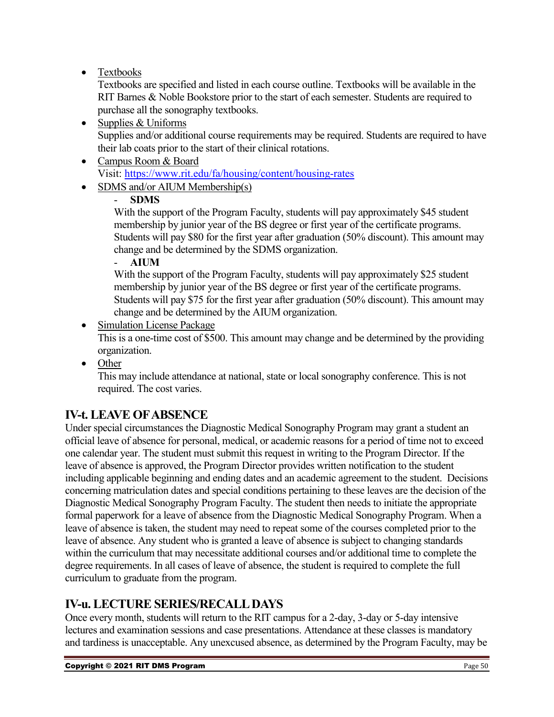### • Textbooks

Textbooks are specified and listed in each course outline. Textbooks will be available in the RIT Barnes & Noble Bookstore prior to the start of each semester. Students are required to purchase all the sonography textbooks.

- Supplies & Uniforms Supplies and/or additional course requirements may be required. Students are required to have their lab coats prior to the start of their clinical rotations.
- Campus Room & Board Visit:<https://www.rit.edu/fa/housing/content/housing-rates>
- SDMS and/or AIUM Membership(s)

### - **SDMS**

With the support of the Program Faculty, students will pay approximately \$45 student membership by junior year of the BS degree or first year of the certificate programs. Students will pay \$80 for the first year after graduation (50% discount). This amount may change and be determined by the SDMS organization.

### - **AIUM**

With the support of the Program Faculty, students will pay approximately \$25 student membership by junior year of the BS degree or first year of the certificate programs. Students will pay \$75 for the first year after graduation (50% discount). This amount may change and be determined by the AIUM organization.

### • Simulation License Package

This is a one-time cost of \$500. This amount may change and be determined by the providing organization.

• Other

This may include attendance at national, state or local sonography conference. This is not required. The cost varies.

### <span id="page-49-0"></span>**IV-t. LEAVE OF ABSENCE**

Under special circumstances the Diagnostic Medical Sonography Program may grant a student an official leave of absence for personal, medical, or academic reasons for a period of time not to exceed one calendar year. The student must submit this request in writing to the Program Director. If the leave of absence is approved, the Program Director provides written notification to the student including applicable beginning and ending dates and an academic agreement to the student. Decisions concerning matriculation dates and special conditions pertaining to these leaves are the decision of the Diagnostic Medical Sonography Program Faculty. The student then needs to initiate the appropriate formal paperwork for a leave of absence from the Diagnostic Medical Sonography Program. When a leave of absence is taken, the student may need to repeat some of the courses completed prior to the leave of absence. Any student who is granted a leave of absence is subject to changing standards within the curriculum that may necessitate additional courses and/or additional time to complete the degree requirements. In all cases of leave of absence, the student is required to complete the full curriculum to graduate from the program.

### <span id="page-49-1"></span>**IV-u. LECTURE SERIES/RECALL DAYS**

Once every month, students will return to the RIT campus for a 2-day, 3-day or 5-day intensive lectures and examination sessions and case presentations. Attendance at these classes is mandatory and tardiness is unacceptable. Any unexcused absence, as determined by the Program Faculty, may be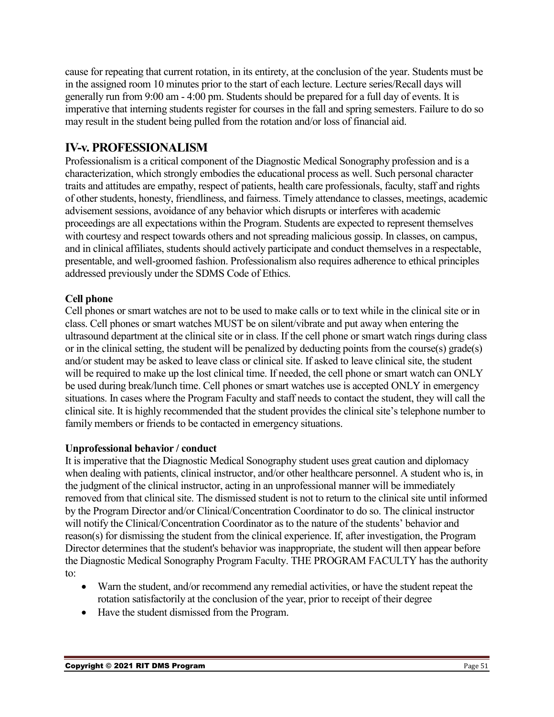cause for repeating that current rotation, in its entirety, at the conclusion of the year. Students must be in the assigned room 10 minutes prior to the start of each lecture. Lecture series/Recall days will generally run from 9:00 am - 4:00 pm. Students should be prepared for a full day of events. It is imperative that interning students register for courses in the fall and spring semesters. Failure to do so may result in the student being pulled from the rotation and/or loss of financial aid.

### <span id="page-50-0"></span>**IV-v. PROFESSIONALISM**

Professionalism is a critical component of the Diagnostic Medical Sonography profession and is a characterization, which strongly embodies the educational process as well. Such personal character traits and attitudes are empathy, respect of patients, health care professionals, faculty, staff and rights of other students, honesty, friendliness, and fairness. Timely attendance to classes, meetings, academic advisement sessions, avoidance of any behavior which disrupts or interferes with academic proceedings are all expectations within the Program. Students are expected to represent themselves with courtesy and respect towards others and not spreading malicious gossip. In classes, on campus, and in clinical affiliates, students should actively participate and conduct themselves in a respectable, presentable, and well-groomed fashion. Professionalism also requires adherence to ethical principles addressed previously under the SDMS Code of Ethics.

### **Cell phone**

Cell phones or smart watches are not to be used to make calls or to text while in the clinical site or in class. Cell phones or smart watches MUST be on silent/vibrate and put away when entering the ultrasound department at the clinical site or in class. If the cell phone or smart watch rings during class or in the clinical setting, the student will be penalized by deducting points from the course(s) grade(s) and/or student may be asked to leave class or clinical site. If asked to leave clinical site, the student will be required to make up the lost clinical time. If needed, the cell phone or smart watch can ONLY be used during break/lunch time. Cell phones or smart watches use is accepted ONLY in emergency situations. In cases where the Program Faculty and staff needs to contact the student, they will call the clinical site. It is highly recommended that the student provides the clinical site's telephone number to family members or friends to be contacted in emergency situations.

#### **Unprofessional behavior / conduct**

It is imperative that the Diagnostic Medical Sonography student uses great caution and diplomacy when dealing with patients, clinical instructor, and/or other healthcare personnel. A student who is, in the judgment of the clinical instructor, acting in an unprofessional manner will be immediately removed from that clinical site. The dismissed student is not to return to the clinical site until informed by the Program Director and/or Clinical/Concentration Coordinator to do so. The clinical instructor will notify the Clinical/Concentration Coordinator as to the nature of the students' behavior and reason(s) for dismissing the student from the clinical experience. If, after investigation, the Program Director determines that the student's behavior was inappropriate, the student will then appear before the Diagnostic Medical Sonography Program Faculty. THE PROGRAM FACULTY has the authority to:

- Warn the student, and/or recommend any remedial activities, or have the student repeat the rotation satisfactorily at the conclusion of the year, prior to receipt of their degree
- Have the student dismissed from the Program.